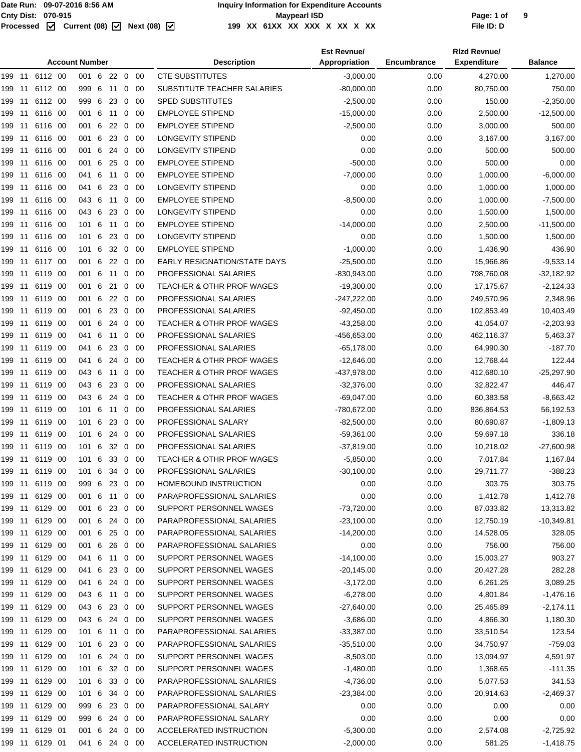|        | <b>Account Number</b> |                |      |               |   |            |                |             | <b>Description</b>                   | <b>Est Revnue/</b><br>Appropriation | Encumbrance | <b>Rizd Revnue/</b><br><b>Expenditure</b> | <b>Balance</b> |
|--------|-----------------------|----------------|------|---------------|---|------------|----------------|-------------|--------------------------------------|-------------------------------------|-------------|-------------------------------------------|----------------|
| 199 11 |                       | 6112 00        |      | 001 6         |   | 22 0 00    |                |             | <b>CTE SUBSTITUTES</b>               | $-3,000.00$                         | 0.00        | 4,270.00                                  | 1,270.00       |
| 199    | 11                    | 6112 00        |      | 999 6         |   | 11         | 0              | -00         | SUBSTITUTE TEACHER SALARIES          | $-80,000.00$                        | 0.00        | 80,750.00                                 | 750.00         |
| 199    | 11                    | 6112 00        |      | 999 6         |   | 23         | 0              | 00          | <b>SPED SUBSTITUTES</b>              | $-2,500.00$                         | 0.00        | 150.00                                    | $-2,350.00$    |
| 199    | 11                    | 6116 00        |      | 001 6         |   | 11         | 0              | 00          | <b>EMPLOYEE STIPEND</b>              | $-15,000.00$                        | 0.00        | 2,500.00                                  | $-12,500.00$   |
| 199    | 11                    | 6116 00        |      | 001           | 6 | 22         | 0              | 00          | <b>EMPLOYEE STIPEND</b>              | $-2,500.00$                         | 0.00        | 3,000.00                                  | 500.00         |
| 199    | 11                    | 6116 00        |      | 001 6         |   | 23         | 0              | 00          | LONGEVITY STIPEND                    | 0.00                                | 0.00        | 3,167.00                                  | 3,167.00       |
| 199    | -11                   | 6116 00        |      | 001 6         |   | 24         | 0              | 00          | LONGEVITY STIPEND                    | 0.00                                | 0.00        | 500.00                                    | 500.00         |
| 199    | 11                    | 6116 00        |      | 001 6         |   | 25         | 0              | 00          | <b>EMPLOYEE STIPEND</b>              | $-500.00$                           | 0.00        | 500.00                                    | 0.00           |
| 199 11 |                       | 6116 00        |      | 041 6         |   | 11         | 0              | 00          | <b>EMPLOYEE STIPEND</b>              | $-7.000.00$                         | 0.00        | 1,000.00                                  | $-6,000.00$    |
| 199    | -11                   | 6116 00        |      | 041 6         |   | 23         | 0              | 00          | <b>LONGEVITY STIPEND</b>             | 0.00                                | 0.00        | 1,000.00                                  | 1,000.00       |
| 199    | 11                    | 6116 00        |      | 043 6         |   | 11         | 0              | 00          | <b>EMPLOYEE STIPEND</b>              | $-8,500.00$                         | 0.00        | 1,000.00                                  | $-7,500.00$    |
| 199    | -11                   | 6116 00        |      | 043 6         |   | 23         | 0              | 00          | LONGEVITY STIPEND                    | 0.00                                | 0.00        | 1,500.00                                  | 1,500.00       |
| 199    | -11                   | 6116 00        |      | 101 6         |   | 11         | 0              | 00          | <b>EMPLOYEE STIPEND</b>              | $-14,000.00$                        | 0.00        | 2,500.00                                  | $-11,500.00$   |
| 199    | 11                    | 6116 00        |      | 101 6         |   | 23         | $\mathbf 0$    | 00          | <b>LONGEVITY STIPEND</b>             | 0.00                                | 0.00        | 1,500.00                                  | 1,500.00       |
| 199    | -11                   | 6116 00        |      | 101 6         |   | 32         | $\mathbf 0$    | 00          | <b>EMPLOYEE STIPEND</b>              | $-1,000.00$                         | 0.00        | 1,436.90                                  | 436.90         |
| 199    | 11                    | 6117 00        |      | 001 6         |   | $22\quad0$ |                | 00          | EARLY RESIGNATION/STATE DAYS         | $-25,500.00$                        | 0.00        | 15,966.86                                 | $-9,533.14$    |
| 199    | 11                    | 6119 00        |      | 001           | 6 | 11         | 0              | 00          | PROFESSIONAL SALARIES                | $-830,943.00$                       | 0.00        | 798,760.08                                | $-32,182.92$   |
| 199    | 11                    | 6119 00        |      | 001 6         |   | 21         | 0              | 00          | <b>TEACHER &amp; OTHR PROF WAGES</b> | $-19,300.00$                        | 0.00        | 17,175.67                                 | $-2,124.33$    |
| 199    | -11                   | 6119 00        |      | 001 6         |   | 22         | 0              | 00          | PROFESSIONAL SALARIES                | $-247,222.00$                       | 0.00        |                                           |                |
|        |                       | 6119 00        |      | 001 6         |   | 23         | 0              | 00          | PROFESSIONAL SALARIES                | $-92,450.00$                        | 0.00        | 249,570.96<br>102,853.49                  | 2,348.96       |
| 199    | 11                    |                |      |               |   |            |                |             |                                      |                                     |             |                                           | 10,403.49      |
| 199 11 |                       | 6119 00        |      | 001 6         |   | 24         | 0              | 00          | <b>TEACHER &amp; OTHR PROF WAGES</b> | $-43,258.00$                        | 0.00        | 41,054.07                                 | $-2,203.93$    |
| 199    | -11                   | 6119 00        |      | 041 6         |   | 11         | 0              | 00          | PROFESSIONAL SALARIES                | -456,653.00                         | 0.00        | 462,116.37                                | 5,463.37       |
| 199    | 11                    | 6119           | - 00 | 041           | 6 | 23         | 0              | 00          | PROFESSIONAL SALARIES                | $-65,178.00$                        | 0.00        | 64,990.30                                 | $-187.70$      |
| 199    | 11                    | 6119           | -00  | 041 6         |   | 24         | 0              | 00          | <b>TEACHER &amp; OTHR PROF WAGES</b> | $-12,646.00$                        | 0.00        | 12,768.44                                 | 122.44         |
| 199    | -11                   | 6119 00        |      | 043 6         |   | 11         | 0              | -00         | TEACHER & OTHR PROF WAGES            | -437,978.00                         | 0.00        | 412,680.10                                | $-25,297.90$   |
| 199    | 11                    | 6119 00        |      | 043 6         |   | 23         | $\mathbf 0$    | 00          | PROFESSIONAL SALARIES                | $-32,376.00$                        | 0.00        | 32,822.47                                 | 446.47         |
| 199    | -11                   | 6119 00        |      | 043 6         |   | 24         | $\mathbf 0$    | 00          | <b>TEACHER &amp; OTHR PROF WAGES</b> | $-69,047.00$                        | 0.00        | 60,383.58                                 | $-8,663.42$    |
| 199    | -11                   | 6119 00        |      | 101 6         |   | 11         | 0              | 00          | PROFESSIONAL SALARIES                | -780,672.00                         | 0.00        | 836,864.53                                | 56,192.53      |
| 199    | 11                    | 6119 00        |      | 101           | 6 | 23         | 0              | 00          | PROFESSIONAL SALARY                  | $-82,500.00$                        | 0.00        | 80,690.87                                 | $-1,809.13$    |
| 199    | 11                    | 6119           | - 00 | 101 6         |   | 24         | 0              | 00          | PROFESSIONAL SALARIES                | $-59,361.00$                        | 0.00        | 59,697.18                                 | 336.18         |
| 199    | -11                   | 6119           | - 00 | 101 6         |   | 32         | $\overline{0}$ | -00         | PROFESSIONAL SALARIES                | $-37,819.00$                        | 0.00        | 10,218.02                                 | $-27,600.98$   |
| 199 11 |                       | 6119 00        |      | 101 6         |   | 33         | $\overline{0}$ | -00         | <b>TEACHER &amp; OTHR PROF WAGES</b> | $-5,850.00$                         | 0.00        | 7,017.84                                  | 1,167.84       |
| 199    |                       | 11 6119 00     |      | 101 6         |   | 34         | $\mathbf 0$    | 00          | PROFESSIONAL SALARIES                | $-30,100.00$                        | 0.00        | 29,711.77                                 | $-388.23$      |
|        |                       | 199 11 6119 00 |      | 999 6 23 0 00 |   |            |                |             | HOMEBOUND INSTRUCTION                | 0.00                                | 0.00        | 303.75                                    | 303.75         |
| 199 11 |                       | 6129 00        |      | 001 6         |   | 11         | $\overline{0}$ | 00          | PARAPROFESSIONAL SALARIES            | 0.00                                | 0.00        | 1,412.78                                  | 1,412.78       |
| 199 11 |                       | 6129 00        |      | 001 6         |   | 23         |                | $0\quad 00$ | SUPPORT PERSONNEL WAGES              | $-73,720.00$                        | 0.00        | 87,033.82                                 | 13,313.82      |
| 199 11 |                       | 6129 00        |      | 001 6 24 0 00 |   |            |                |             | PARAPROFESSIONAL SALARIES            | $-23,100.00$                        | 0.00        | 12,750.19                                 | $-10,349.81$   |
| 199 11 |                       | 6129 00        |      | 001 6         |   | 25         |                | $0\quad00$  | PARAPROFESSIONAL SALARIES            | $-14,200.00$                        | 0.00        | 14,528.05                                 | 328.05         |
| 199 11 |                       | 6129 00        |      | 001 6 26      |   |            |                | $0\quad 00$ | PARAPROFESSIONAL SALARIES            | 0.00                                | 0.00        | 756.00                                    | 756.00         |
| 199 11 |                       | 6129 00        |      | 041 6 11 0 00 |   |            |                |             | SUPPORT PERSONNEL WAGES              | $-14,100.00$                        | 0.00        | 15,003.27                                 | 903.27         |
| 199 11 |                       | 6129 00        |      | 041 6         |   | 23         | $\mathbf{0}$   | 00          | SUPPORT PERSONNEL WAGES              | $-20,145.00$                        | 0.00        | 20,427.28                                 | 282.28         |
| 199 11 |                       | 6129 00        |      | 041 6         |   | 24 0       |                | - 00        | SUPPORT PERSONNEL WAGES              | $-3,172.00$                         | 0.00        | 6,261.25                                  | 3,089.25       |
| 199 11 |                       | 6129 00        |      | 043 6 11      |   |            |                | $0\quad 00$ | SUPPORT PERSONNEL WAGES              | $-6,278.00$                         | 0.00        | 4,801.84                                  | $-1,476.16$    |
| 199 11 |                       | 6129 00        |      | 043 6         |   | 23         |                | $0\quad 00$ | SUPPORT PERSONNEL WAGES              | $-27,640.00$                        | 0.00        | 25,465.89                                 | $-2,174.11$    |
| 199 11 |                       | 6129 00        |      | 043 6         |   | 24 0 00    |                |             | SUPPORT PERSONNEL WAGES              | $-3,686.00$                         | 0.00        | 4,866.30                                  | 1,180.30       |
| 199 11 |                       | 6129 00        |      | 101 6 11      |   |            |                | $0\quad 00$ | PARAPROFESSIONAL SALARIES            | $-33,387.00$                        | 0.00        | 33,510.54                                 | 123.54         |
| 199 11 |                       | 6129 00        |      | 101 6         |   | 23         | $\mathbf 0$    | -00         | PARAPROFESSIONAL SALARIES            | $-35,510.00$                        | 0.00        | 34,750.97                                 | $-759.03$      |
| 199 11 |                       | 6129 00        |      | 101 6         |   | 24 0 00    |                |             | SUPPORT PERSONNEL WAGES              | $-8,503.00$                         | 0.00        | 13,094.97                                 | 4,591.97       |
| 199 11 |                       | 6129 00        |      | 101 6         |   | 32 0 00    |                |             | SUPPORT PERSONNEL WAGES              | $-1,480.00$                         | 0.00        | 1,368.65                                  | $-111.35$      |
| 199 11 |                       | 6129 00        |      | 101 6         |   | 33         |                | $0\quad00$  | PARAPROFESSIONAL SALARIES            | $-4,736.00$                         | 0.00        | 5,077.53                                  | 341.53         |
| 199 11 |                       | 6129 00        |      | 101 6         |   | 34 0 00    |                |             | PARAPROFESSIONAL SALARIES            | $-23,384.00$                        | 0.00        | 20,914.63                                 | $-2,469.37$    |
| 199 11 |                       | 6129 00        |      | 999 6 23 0 00 |   |            |                |             | PARAPROFESSIONAL SALARY              | 0.00                                | 0.00        | 0.00                                      | 0.00           |
| 199 11 |                       | 6129 00        |      | 999 6         |   | 24         | $\mathbf 0$    | 00          | PARAPROFESSIONAL SALARY              | 0.00                                | 0.00        | 0.00                                      | 0.00           |
| 199 11 |                       | 6129 01        |      | 001 6         |   | 24 0       |                | -00         | ACCELERATED INSTRUCTION              | $-5,300.00$                         | 0.00        | 2,574.08                                  | $-2,725.92$    |
| 199 11 |                       | 6129 01        |      | 041 6 24 0 00 |   |            |                |             | ACCELERATED INSTRUCTION              | $-2,000.00$                         | 0.00        | 581.25                                    | $-1,418.75$    |
|        |                       |                |      |               |   |            |                |             |                                      |                                     |             |                                           |                |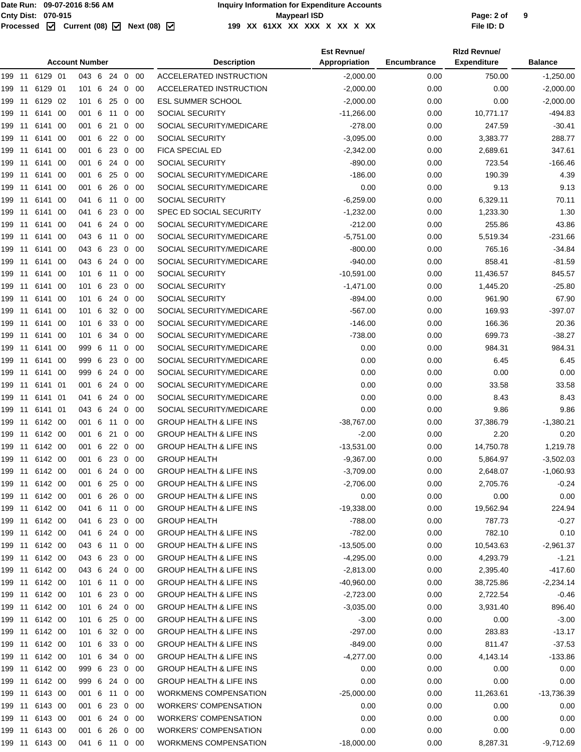#### Page: 2 of<br> **Cnty Dist:** 070-915<br>
Processed **M** Current (08) M Next (08) M 199 XX 61XX XX XX X XX X XX XX **199 XX 61XX XX XXX X XX X XX File ID: D**

|                |         | <b>Account Number</b> |              |                |             | <b>Description</b>                 | <b>Est Revnue/</b><br>Appropriation | Encumbrance | <b>Rizd Revnue/</b><br><b>Expenditure</b> | <b>Balance</b> |  |
|----------------|---------|-----------------------|--------------|----------------|-------------|------------------------------------|-------------------------------------|-------------|-------------------------------------------|----------------|--|
|                |         | 043 6 24 0 00         |              |                |             | <b>ACCELERATED INSTRUCTION</b>     | $-2,000.00$                         | 0.00        | 750.00                                    | $-1,250.00$    |  |
| 199 11         | 6129 01 | 101 6                 | 24           | $\overline{0}$ | -00         | ACCELERATED INSTRUCTION            | $-2,000.00$                         | 0.00        | 0.00                                      | $-2,000.00$    |  |
| 199 11         | 6129 02 | 101 6 25              |              |                | $0\quad 00$ | <b>ESL SUMMER SCHOOL</b>           | $-2,000.00$                         | 0.00        | 0.00                                      | $-2,000.00$    |  |
| 199 11         | 6141 00 | 001 6                 | 11           | $\mathbf 0$    | -00         | SOCIAL SECURITY                    | $-11,266.00$                        | 0.00        | 10,771.17                                 | $-494.83$      |  |
| 199 11         | 6141 00 | 001 6                 | 21           | 0              | -00         | SOCIAL SECURITY/MEDICARE           | $-278.00$                           | 0.00        | 247.59                                    | $-30.41$       |  |
| 199<br>11      | 6141 00 | 001 6 22              |              | $\overline{0}$ | -00         | <b>SOCIAL SECURITY</b>             | $-3,095.00$                         | 0.00        | 3,383.77                                  | 288.77         |  |
| 199<br>11      | 6141 00 | 001 6                 | 23           | $\mathbf 0$    | 00          | FICA SPECIAL ED                    | $-2,342.00$                         | 0.00        | 2,689.61                                  | 347.61         |  |
| 199 11         | 6141 00 | 001 6                 | 24           | $\mathbf 0$    | -00         | <b>SOCIAL SECURITY</b>             | $-890.00$                           | 0.00        | 723.54                                    | $-166.46$      |  |
| 199 11         | 6141 00 | 001 6 25              |              | $\mathbf 0$    | - 00        | SOCIAL SECURITY/MEDICARE           | $-186.00$                           | 0.00        | 190.39                                    | 4.39           |  |
| 199 11         | 6141 00 | 001 6                 | 26           | $\mathbf 0$    | -00         | SOCIAL SECURITY/MEDICARE           | 0.00                                | 0.00        | 9.13                                      | 9.13           |  |
| 199 11         | 6141 00 | 041 6 11 0            |              |                | - 00        | <b>SOCIAL SECURITY</b>             | $-6,259.00$                         | 0.00        | 6,329.11                                  | 70.11          |  |
| 199 11         | 6141 00 | 041 6 23              |              | $\mathbf 0$    | - 00        | SPEC ED SOCIAL SECURITY            | $-1,232.00$                         | 0.00        | 1,233.30                                  | 1.30           |  |
| 199 11         | 6141 00 | 041 6                 | 24           | $\mathbf 0$    | -00         | SOCIAL SECURITY/MEDICARE           | $-212.00$                           | 0.00        | 255.86                                    | 43.86          |  |
| 199 11         | 6141 00 | 043 6                 | 11           | 0              | -00         | SOCIAL SECURITY/MEDICARE           | $-5,751.00$                         | 0.00        | 5,519.34                                  | $-231.66$      |  |
| 199 11         | 6141 00 | 043 6                 | 23           | $\mathbf 0$    | - 00        | SOCIAL SECURITY/MEDICARE           | $-800.00$                           | 0.00        | 765.16                                    | $-34.84$       |  |
| 199 11         | 6141 00 | 043 6                 | 24           | $\mathbf 0$    | -00         | SOCIAL SECURITY/MEDICARE           | $-940.00$                           | 0.00        | 858.41                                    | $-81.59$       |  |
| 199 11         | 6141 00 | 101 6                 | 11           | 0              | -00         | <b>SOCIAL SECURITY</b>             | $-10,591.00$                        | 0.00        | 11,436.57                                 | 845.57         |  |
| 199 11         | 6141 00 | 101 6 23              |              | $\overline{0}$ | - 00        | <b>SOCIAL SECURITY</b>             | $-1,471.00$                         | 0.00        | 1,445.20                                  | $-25.80$       |  |
| 199<br>11      | 6141 00 | 101 6                 | 24           | $\mathbf 0$    | -00         | SOCIAL SECURITY                    | $-894.00$                           | 0.00        | 961.90                                    | 67.90          |  |
| 199 11         | 6141 00 | 101 6                 | $32 \quad 0$ |                | -00         | SOCIAL SECURITY/MEDICARE           | $-567.00$                           | 0.00        | 169.93                                    | $-397.07$      |  |
| 199 11         | 6141 00 | 101 6                 | 33 0         |                | - 00        | SOCIAL SECURITY/MEDICARE           | $-146.00$                           | 0.00        | 166.36                                    | 20.36          |  |
| 199 11         | 6141 00 | 101 6                 | 34           | $\mathbf 0$    | -00         | SOCIAL SECURITY/MEDICARE           | $-738.00$                           | 0.00        | 699.73                                    | $-38.27$       |  |
| 199 11         | 6141 00 | 999 6 11              |              | $\mathbf 0$    | -00         | SOCIAL SECURITY/MEDICARE           | 0.00                                | 0.00        | 984.31                                    | 984.31         |  |
| 199 11         | 6141 00 | 999 6 23              |              | $\mathbf 0$    | -00         | SOCIAL SECURITY/MEDICARE           | 0.00                                | 0.00        | 6.45                                      | 6.45           |  |
| 199<br>11      | 6141 00 | 999 6                 | 24           | 0              | -00         | SOCIAL SECURITY/MEDICARE           | 0.00                                | 0.00        | 0.00                                      | 0.00           |  |
| 199 11         | 6141 01 | 001 6                 | 24           | 0              | -00         | SOCIAL SECURITY/MEDICARE           | 0.00                                | 0.00        | 33.58                                     | 33.58          |  |
| 199 11         | 6141 01 | 041 6                 | 24           | $\mathbf 0$    | -00         | SOCIAL SECURITY/MEDICARE           | 0.00                                | 0.00        | 8.43                                      | 8.43           |  |
| 199 11         | 6141 01 | 043 6                 | 24           | $\mathbf 0$    | -00         | SOCIAL SECURITY/MEDICARE           | 0.00                                | 0.00        | 9.86                                      | 9.86           |  |
|                |         | 001 6 11              |              | $\overline{0}$ | -00         | <b>GROUP HEALTH &amp; LIFE INS</b> | $-38,767.00$                        | 0.00        | 37,386.79                                 | $-1,380.21$    |  |
| 199 11 6142 00 |         | 001 6 21              |              | $\mathbf{0}$   | - 00        | <b>GROUP HEALTH &amp; LIFE INS</b> | $-2.00$                             | 0.00        | 2.20                                      | 0.20           |  |
| 199 11         | 6142 00 | 001 6 22 0            |              |                | -00         | <b>GROUP HEALTH &amp; LIFE INS</b> | $-13,531.00$                        | 0.00        | 14,750.78                                 | 1,219.78       |  |
|                |         | 001 6 23 0 00         |              |                |             | <b>GROUP HEALTH</b>                | $-9,367.00$                         | 0.00        | 5,864.97                                  | $-3,502.03$    |  |
| 199 11         | 6142 00 | 001 6 24 0 00         |              |                |             | <b>GROUP HEALTH &amp; LIFE INS</b> | $-3,709.00$                         | 0.00        | 2,648.07                                  | $-1,060.93$    |  |
|                |         | 001 6                 | 25           | $0\quad 00$    |             | <b>GROUP HEALTH &amp; LIFE INS</b> | $-2,706.00$                         | 0.00        | 2,705.76                                  | $-0.24$        |  |
| 199 11 6142 00 |         | 001 6 26 0 00         |              |                |             | <b>GROUP HEALTH &amp; LIFE INS</b> | 0.00                                | 0.00        | 0.00                                      | 0.00           |  |
| 199 11 6142 00 |         | 041 6 11 0 00         |              |                |             | <b>GROUP HEALTH &amp; LIFE INS</b> | $-19,338.00$                        | 0.00        | 19,562.94                                 | 224.94         |  |
| 199 11 6142 00 |         | 041 6 23 0 00         |              |                |             | <b>GROUP HEALTH</b>                | $-788.00$                           | 0.00        | 787.73                                    | $-0.27$        |  |
| 199 11 6142 00 |         | 041 6 24 0 00         |              |                |             | <b>GROUP HEALTH &amp; LIFE INS</b> | $-782.00$                           | 0.00        | 782.10                                    | 0.10           |  |
| 199 11 6142 00 |         | 043 6 11 0 00         |              |                |             | <b>GROUP HEALTH &amp; LIFE INS</b> | $-13,505.00$                        | 0.00        | 10,543.63                                 | $-2,961.37$    |  |
| 199 11 6142 00 |         | 043 6 23 0 00         |              |                |             | <b>GROUP HEALTH &amp; LIFE INS</b> | $-4,295.00$                         | 0.00        | 4,293.79                                  | $-1.21$        |  |
| 199 11 6142 00 |         | 043 6 24 0 00         |              |                |             | <b>GROUP HEALTH &amp; LIFE INS</b> | $-2,813.00$                         | 0.00        | 2,395.40                                  | $-417.60$      |  |
| 199 11 6142 00 |         | 101 6 11 0 00         |              |                |             | <b>GROUP HEALTH &amp; LIFE INS</b> | -40,960.00                          | 0.00        | 38,725.86                                 | $-2,234.14$    |  |
| 199 11 6142 00 |         | 101 6 23 0 00         |              |                |             | <b>GROUP HEALTH &amp; LIFE INS</b> | $-2,723.00$                         | 0.00        | 2,722.54                                  | $-0.46$        |  |
| 199 11 6142 00 |         | 101 6 24 0 00         |              |                |             | <b>GROUP HEALTH &amp; LIFE INS</b> | $-3,035.00$                         | 0.00        | 3,931.40                                  | 896.40         |  |
| 199 11 6142 00 |         | 101 6 25 0 00         |              |                |             | <b>GROUP HEALTH &amp; LIFE INS</b> | $-3.00$                             | 0.00        | 0.00                                      | $-3.00$        |  |
| 199 11 6142 00 |         | 101 6 32 0 00         |              |                |             | <b>GROUP HEALTH &amp; LIFE INS</b> | $-297.00$                           | 0.00        | 283.83                                    | $-13.17$       |  |
| 199 11 6142 00 |         | 101 6 33 0 00         |              |                |             | <b>GROUP HEALTH &amp; LIFE INS</b> | $-849.00$                           | 0.00        | 811.47                                    | $-37.53$       |  |
| 199 11 6142 00 |         | 101 6 34 0 00         |              |                |             | <b>GROUP HEALTH &amp; LIFE INS</b> | $-4,277.00$                         | 0.00        | 4,143.14                                  | $-133.86$      |  |
| 199 11 6142 00 |         | 999 6 23 0 00         |              |                |             | <b>GROUP HEALTH &amp; LIFE INS</b> | 0.00                                | 0.00        | 0.00                                      | 0.00           |  |
|                |         | 999 6 24 0 00         |              |                |             | <b>GROUP HEALTH &amp; LIFE INS</b> | 0.00                                | 0.00        | 0.00                                      | 0.00           |  |
|                |         | 001 6 11 0 00         |              |                |             | <b>WORKMENS COMPENSATION</b>       | $-25,000.00$                        | 0.00        | 11,263.61                                 | -13,736.39     |  |
| 199 11 6143 00 |         | 001 6 23 0 00         |              |                |             | <b>WORKERS' COMPENSATION</b>       | 0.00                                | 0.00        | 0.00                                      | 0.00           |  |
| 199 11 6143 00 |         | 001 6 24 0 00         |              |                |             | <b>WORKERS' COMPENSATION</b>       | 0.00                                | 0.00        | 0.00                                      | 0.00           |  |
| 199 11 6143 00 |         | 001 6 26 0 00         |              |                |             | <b>WORKERS' COMPENSATION</b>       | 0.00                                | 0.00        | 0.00                                      | 0.00           |  |
| 199 11 6143 00 |         | 041 6 11 0 00         |              |                |             | WORKMENS COMPENSATION              | $-18,000.00$                        | 0.00        | 8,287.31                                  | $-9,712.69$    |  |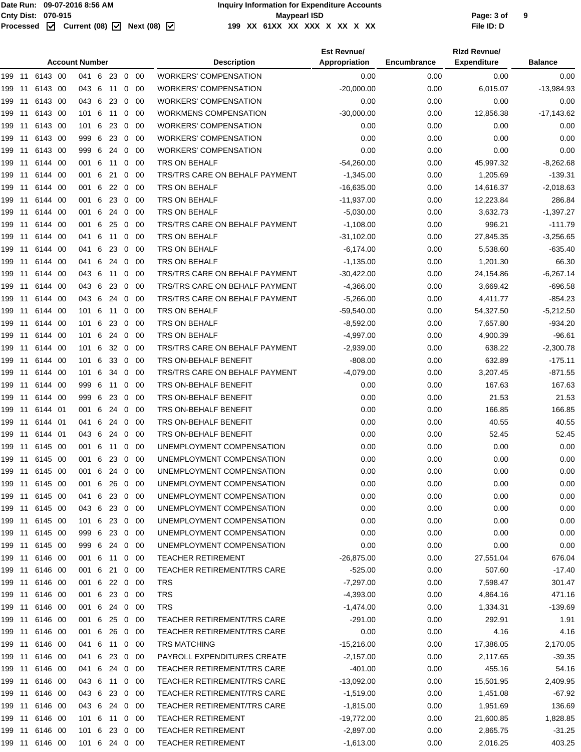|        | <b>Account Number</b> |                |  |               |   |              |                |         | <b>Description</b>                 | <b>Est Revnue/</b><br>Appropriation | Encumbrance | <b>Rizd Revnue/</b><br><b>Expenditure</b> | <b>Balance</b> |
|--------|-----------------------|----------------|--|---------------|---|--------------|----------------|---------|------------------------------------|-------------------------------------|-------------|-------------------------------------------|----------------|
|        |                       | 199 11 6143 00 |  | 041 6 23 0 00 |   |              |                |         | <b>WORKERS' COMPENSATION</b>       | 0.00                                | 0.00        | 0.00                                      | 0.00           |
|        | 199 11                | 6143 00        |  | 043 6 11 0    |   |              |                | -00     | <b>WORKERS' COMPENSATION</b>       | $-20,000.00$                        | 0.00        | 6,015.07                                  | $-13,984.93$   |
| 199    |                       | 11 6143 00     |  | 043 6         |   | $23 \quad 0$ |                | - 00    | <b>WORKERS' COMPENSATION</b>       | 0.00                                | 0.00        | 0.00                                      | 0.00           |
|        | 199 11                | 6143 00        |  | 101 6         |   | 11           | $\mathbf 0$    | - 00    | <b>WORKMENS COMPENSATION</b>       | $-30,000.00$                        | 0.00        | 12,856.38                                 | $-17,143.62$   |
|        | 199 11                | 6143 00        |  | 101 6         |   | 23 0         |                | - 00    | <b>WORKERS' COMPENSATION</b>       | 0.00                                | 0.00        | 0.00                                      | 0.00           |
| 199    | 11                    | 6143 00        |  | 999 6 23 0 00 |   |              |                |         | <b>WORKERS' COMPENSATION</b>       | 0.00                                | 0.00        | 0.00                                      | 0.00           |
| 199    | -11                   | 6143 00        |  | 999 6 24 0    |   |              |                | - 00    | <b>WORKERS' COMPENSATION</b>       | 0.00                                | 0.00        | 0.00                                      | 0.00           |
|        | 199 11                | 6144 00        |  | 001 6         |   | 11           | $\mathbf 0$    | - 00    | TRS ON BEHALF                      | $-54,260.00$                        | 0.00        | 45,997.32                                 | $-8,262.68$    |
| 199    | 11                    | 6144 00        |  | 001 6         |   | 21           | 0              | - 00    | TRS/TRS CARE ON BEHALF PAYMENT     | $-1,345.00$                         | 0.00        | 1,205.69                                  | -139.31        |
| 199 11 |                       | 6144 00        |  | 001 6         |   | 22           | $\overline{0}$ | - 00    | TRS ON BEHALF                      | $-16,635.00$                        | 0.00        | 14,616.37                                 | $-2,018.63$    |
| 199 11 |                       | 6144 00        |  | 001 6         |   | 23           | $\overline{0}$ | - 00    | TRS ON BEHALF                      | $-11,937.00$                        | 0.00        | 12,223.84                                 | 286.84         |
| 199    | 11                    | 6144 00        |  | 001 6 24 0    |   |              |                | - 00    | TRS ON BEHALF                      | $-5,030.00$                         | 0.00        | 3,632.73                                  | $-1,397.27$    |
| 199 11 |                       | 6144 00        |  | 001 6 25      |   |              | $\overline{0}$ | -00     | TRS/TRS CARE ON BEHALF PAYMENT     | $-1,108.00$                         | 0.00        | 996.21                                    | $-111.79$      |
| 199 11 |                       | 6144 00        |  | 041 6         |   | 11           | 0              | -00     | TRS ON BEHALF                      | $-31,102.00$                        | 0.00        | 27,845.35                                 | $-3,256.65$    |
| 199    | 11                    | 6144 00        |  | 041           | 6 | 23           | $\overline{0}$ | - 00    | TRS ON BEHALF                      | $-6,174.00$                         | 0.00        | 5,538.60                                  | $-635.40$      |
| 199 11 |                       | 6144 00        |  | 041           | 6 | 24           | $\mathbf 0$    | - 00    | <b>TRS ON BEHALF</b>               | $-1,135.00$                         | 0.00        | 1,201.30                                  | 66.30          |
|        | 199 11                | 6144 00        |  | 043 6         |   | 11 0         |                | - 00    | TRS/TRS CARE ON BEHALF PAYMENT     | $-30,422.00$                        | 0.00        | 24,154.86                                 | $-6,267.14$    |
| 199    | 11                    | 6144 00        |  | 043 6 23 0 00 |   |              |                |         | TRS/TRS CARE ON BEHALF PAYMENT     | $-4,366.00$                         | 0.00        | 3,669.42                                  | -696.58        |
| 199 11 |                       | 6144 00        |  | 043 6 24 0    |   |              |                | - 00    | TRS/TRS CARE ON BEHALF PAYMENT     | $-5,266.00$                         | 0.00        | 4,411.77                                  | -854.23        |
|        | 199 11                | 6144 00        |  | 101 6         |   | 11           | $\overline{0}$ | - 00    | TRS ON BEHALF                      | -59,540.00                          | 0.00        | 54,327.50                                 | $-5,212.50$    |
| 199    | 11                    | 6144 00        |  | 1016          |   |              |                | 23 0 00 | TRS ON BEHALF                      | $-8,592.00$                         | 0.00        | 7,657.80                                  | -934.20        |
| 199 11 |                       | 6144 00        |  | 101 6         |   |              | 24 0           | - 00    | TRS ON BEHALF                      | $-4,997.00$                         | 0.00        | 4,900.39                                  | $-96.61$       |
| 199 11 |                       | 6144 00        |  | 101 6         |   |              | 32 0           | - 00    | TRS/TRS CARE ON BEHALF PAYMENT     | $-2,939.00$                         | 0.00        | 638.22                                    | $-2,300.78$    |
| 199    | 11                    | 6144 00        |  | 101 6         |   |              |                | 33 0 00 | TRS ON-BEHALF BENEFIT              | $-808.00$                           | 0.00        | 632.89                                    | $-175.11$      |
| 199 11 |                       | 6144 00        |  | 101 6         |   | 34           | $\overline{0}$ | - 00    | TRS/TRS CARE ON BEHALF PAYMENT     | $-4,079.00$                         | 0.00        | 3,207.45                                  | $-871.55$      |
| 199 11 |                       | 6144 00        |  | 999 6         |   | 11           | 0              | -00     | TRS ON-BEHALF BENEFIT              | 0.00                                | 0.00        | 167.63                                    | 167.63         |
| 199    | 11                    | 6144 00        |  | 999 6         |   | 23           | $\mathbf 0$    | - 00    | TRS ON-BEHALF BENEFIT              | 0.00                                | 0.00        | 21.53                                     | 21.53          |
| 199 11 |                       | 6144 01        |  | 001 6         |   | 24           | $\mathbf 0$    | - 00    | TRS ON-BEHALF BENEFIT              | 0.00                                | 0.00        | 166.85                                    | 166.85         |
|        | 199 11                | 6144 01        |  | 041 6         |   | 24           | $\overline{0}$ | -00     | TRS ON-BEHALF BENEFIT              | 0.00                                | 0.00        | 40.55                                     | 40.55          |
| 199    | 11                    | 6144 01        |  | 043 6 24 0    |   |              |                | - 00    | TRS ON-BEHALF BENEFIT              | 0.00                                | 0.00        | 52.45                                     | 52.45          |
| 199 11 |                       | 6145 00        |  | 001 6         |   | 11           | 0              | -00     | UNEMPLOYMENT COMPENSATION          | 0.00                                | 0.00        | 0.00                                      | 0.00           |
|        |                       | 199 11 6145 00 |  | 001 6 23 0 00 |   |              |                |         | UNEMPLOYMENT COMPENSATION          | 0.00                                | 0.00        | 0.00                                      | 0.00           |
|        |                       | 199 11 6145 00 |  | 001 6 24 0 00 |   |              |                |         | UNEMPLOYMENT COMPENSATION          | 0.00                                | 0.00        | 0.00                                      | 0.00           |
|        |                       |                |  | 001 6         |   | 26 0 00      |                |         | UNEMPLOYMENT COMPENSATION          | 0.00                                | 0.00        | 0.00                                      | 0.00           |
|        |                       | 199 11 6145 00 |  | 041 6 23 0 00 |   |              |                |         | UNEMPLOYMENT COMPENSATION          | 0.00                                | 0.00        | 0.00                                      | 0.00           |
|        |                       | 199 11 6145 00 |  | 043 6 23 0 00 |   |              |                |         | UNEMPLOYMENT COMPENSATION          | 0.00                                | 0.00        | 0.00                                      | 0.00           |
|        |                       |                |  | 101 6 23 0 00 |   |              |                |         | UNEMPLOYMENT COMPENSATION          | 0.00                                | 0.00        | 0.00                                      | 0.00           |
|        |                       |                |  | 999 6 23 0 00 |   |              |                |         | UNEMPLOYMENT COMPENSATION          | 0.00                                | 0.00        | 0.00                                      | 0.00           |
|        |                       | 199 11 6145 00 |  | 999 6 24 0 00 |   |              |                |         | UNEMPLOYMENT COMPENSATION          | 0.00                                | 0.00        | 0.00                                      | 0.00           |
|        |                       | 199 11 6146 00 |  | 001 6 11 0 00 |   |              |                |         | <b>TEACHER RETIREMENT</b>          | $-26,875.00$                        | 0.00        | 27,551.04                                 | 676.04         |
|        |                       | 199 11 6146 00 |  | 001 6 21 0 00 |   |              |                |         | <b>TEACHER RETIREMENT/TRS CARE</b> | $-525.00$                           | 0.00        | 507.60                                    | $-17.40$       |
|        |                       | 199 11 6146 00 |  | 001 6 22 0 00 |   |              |                |         | <b>TRS</b>                         | $-7,297.00$                         | 0.00        | 7,598.47                                  | 301.47         |
|        |                       | 199 11 6146 00 |  | 001 6 23 0 00 |   |              |                |         | <b>TRS</b>                         | $-4,393.00$                         | 0.00        | 4,864.16                                  | 471.16         |
|        |                       |                |  | 001 6 24 0 00 |   |              |                |         | <b>TRS</b>                         | $-1,474.00$                         | 0.00        | 1,334.31                                  | -139.69        |
|        |                       | 199 11 6146 00 |  | 001 6 25 0 00 |   |              |                |         | <b>TEACHER RETIREMENT/TRS CARE</b> | $-291.00$                           | 0.00        | 292.91                                    | 1.91           |
|        |                       | 199 11 6146 00 |  | 001 6 26 0 00 |   |              |                |         | TEACHER RETIREMENT/TRS CARE        | 0.00                                | 0.00        | 4.16                                      | 4.16           |
|        |                       | 199 11 6146 00 |  | 041 6 11 0 00 |   |              |                |         | TRS MATCHING                       | $-15,216.00$                        | 0.00        | 17,386.05                                 | 2,170.05       |
|        |                       | 199 11 6146 00 |  | 041 6 23 0 00 |   |              |                |         | PAYROLL EXPENDITURES CREATE        | $-2,157.00$                         | 0.00        | 2,117.65                                  | $-39.35$       |
|        |                       | 199 11 6146 00 |  | 041 6 24 0 00 |   |              |                |         | TEACHER RETIREMENT/TRS CARE        | $-401.00$                           | 0.00        | 455.16                                    | 54.16          |
|        |                       |                |  | 043 6 11 0 00 |   |              |                |         | TEACHER RETIREMENT/TRS CARE        | -13,092.00                          | 0.00        | 15,501.95                                 | 2,409.95       |
|        |                       | 199 11 6146 00 |  | 043 6 23 0 00 |   |              |                |         | <b>TEACHER RETIREMENT/TRS CARE</b> | $-1,519.00$                         | 0.00        | 1,451.08                                  | -67.92         |
|        | 199 11                | 6146 00        |  | 043 6 24 0 00 |   |              |                |         | TEACHER RETIREMENT/TRS CARE        | $-1,815.00$                         | 0.00        | 1,951.69                                  | 136.69         |
|        |                       | 199 11 6146 00 |  | 101 6 11 0 00 |   |              |                |         | <b>TEACHER RETIREMENT</b>          | -19,772.00                          | 0.00        | 21,600.85                                 | 1,828.85       |
|        |                       | 199 11 6146 00 |  | 101 6 23 0 00 |   |              |                |         | <b>TEACHER RETIREMENT</b>          | $-2,897.00$                         | 0.00        | 2,865.75                                  | $-31.25$       |
|        |                       | 199 11 6146 00 |  | 101 6 24 0 00 |   |              |                |         | <b>TEACHER RETIREMENT</b>          | $-1,613.00$                         | 0.00        | 2,016.25                                  | 403.25         |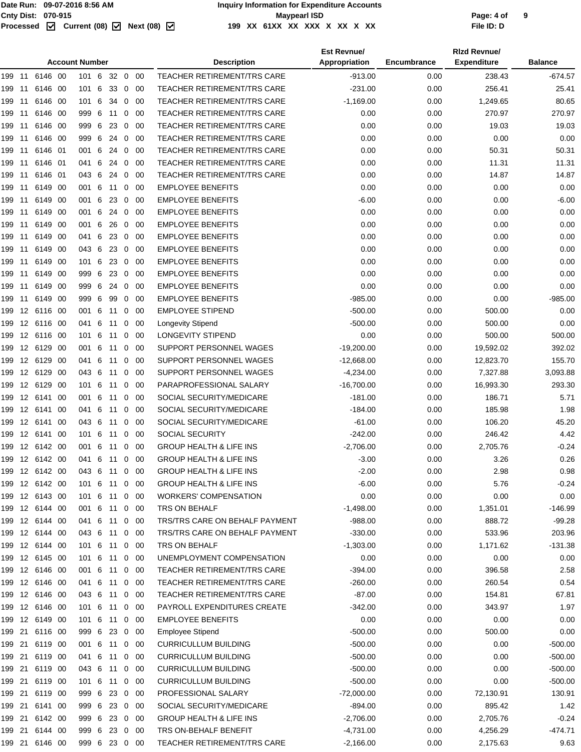#### Page: 4 of<br> **Cnty Dist:** 070-915<br>
Processed **M** Current (08) M Next (08) M 199 XX 61XX XX XX X XX X XX XX **199 XX 61XX XX XXX X XX X XX File ID: D**

|        |    |                              |  |                        |         |    |                |             |                                            | <b>Est Revnue/</b> |                    | <b>Rizd Revnue/</b> |                |
|--------|----|------------------------------|--|------------------------|---------|----|----------------|-------------|--------------------------------------------|--------------------|--------------------|---------------------|----------------|
|        |    |                              |  | <b>Account Number</b>  |         |    |                |             | <b>Description</b>                         | Appropriation      | <b>Encumbrance</b> | <b>Expenditure</b>  | <b>Balance</b> |
|        |    | 199 11 6146 00               |  | 101 6 32 0 00          |         |    |                |             | TEACHER RETIREMENT/TRS CARE                | $-913.00$          | 0.00               | 238.43              | $-674.57$      |
| 199    | 11 | 6146 00                      |  | 101 6                  |         | 33 |                | $0\quad 00$ | <b>TEACHER RETIREMENT/TRS CARE</b>         | $-231.00$          | 0.00               | 256.41              | 25.41          |
| 199    | 11 | 6146 00                      |  | 101 6                  |         | 34 |                | $0\quad00$  | <b>TEACHER RETIREMENT/TRS CARE</b>         | $-1,169.00$        | 0.00               | 1,249.65            | 80.65          |
| 199    | 11 | 6146 00                      |  | 999 6                  |         | 11 |                | $0\quad 00$ | TEACHER RETIREMENT/TRS CARE                | 0.00               | 0.00               | 270.97              | 270.97         |
| 199    | 11 | 6146 00                      |  | 999 6                  |         | 23 | $\mathbf{0}$   | - 00        | <b>TEACHER RETIREMENT/TRS CARE</b>         | 0.00               | 0.00               | 19.03               | 19.03          |
| 199    | 11 | 6146 00                      |  | 999 6                  |         | 24 | $\mathbf{0}$   | - 00        | <b>TEACHER RETIREMENT/TRS CARE</b>         | 0.00               | 0.00               | 0.00                | 0.00           |
| 199    | 11 | 6146 01                      |  | 001 6                  |         | 24 |                | $0\quad 00$ | <b>TEACHER RETIREMENT/TRS CARE</b>         | 0.00               | 0.00               | 50.31               | 50.31          |
| 199    | 11 | 6146 01                      |  | 041                    | 6       | 24 | $\mathbf{0}$   | - 00        | TEACHER RETIREMENT/TRS CARE                | 0.00               | 0.00               | 11.31               | 11.31          |
| 199    | 11 | 6146 01                      |  | 043 6                  |         | 24 |                | $0\quad00$  | <b>TEACHER RETIREMENT/TRS CARE</b>         | 0.00               | 0.00               | 14.87               | 14.87          |
| 199    | 11 | 6149 00                      |  | 001 6                  |         | 11 |                | $0\quad 00$ | <b>EMPLOYEE BENEFITS</b>                   | 0.00               | 0.00               | 0.00                | 0.00           |
| 199    | 11 | 6149 00                      |  | 001 6                  |         | 23 | $\overline{0}$ | - 00        | <b>EMPLOYEE BENEFITS</b>                   | $-6.00$            | 0.00               | 0.00                | $-6.00$        |
| 199    | 11 | 6149 00                      |  | 001 6                  |         | 24 |                | $0\quad 00$ | <b>EMPLOYEE BENEFITS</b>                   | 0.00               | 0.00               | 0.00                | 0.00           |
| 199    | 11 | 6149 00                      |  | 001 6                  |         | 26 |                | $0\quad 00$ | <b>EMPLOYEE BENEFITS</b>                   | 0.00               | 0.00               | 0.00                | 0.00           |
| 199    | 11 | 6149 00                      |  | 041 6                  |         | 23 | $\mathbf{0}$   | - 00        | <b>EMPLOYEE BENEFITS</b>                   | 0.00               | 0.00               | 0.00                | 0.00           |
| 199    | 11 | 6149 00                      |  | 043 6                  |         | 23 |                | $0\quad00$  | <b>EMPLOYEE BENEFITS</b>                   | 0.00               | 0.00               | 0.00                | 0.00           |
| 199    | 11 | 6149 00                      |  | 101 6                  |         | 23 |                | $0\quad 00$ | <b>EMPLOYEE BENEFITS</b>                   | 0.00               | 0.00               | 0.00                | 0.00           |
| 199    | 11 | 6149 00                      |  | 999                    | - 6     | 23 |                | $0\quad 00$ | <b>EMPLOYEE BENEFITS</b>                   | 0.00               | 0.00               | 0.00                | 0.00           |
| 199    | 11 | 6149 00                      |  | 999 6                  |         | 24 |                | $0\quad 00$ | <b>EMPLOYEE BENEFITS</b>                   | 0.00               | 0.00               | 0.00                | 0.00           |
| 199    | 11 | 6149 00                      |  | 999                    | $\,6\,$ | 99 |                | $0\quad 00$ | <b>EMPLOYEE BENEFITS</b>                   | $-985.00$          | 0.00               | 0.00                | $-985.00$      |
| 199    |    | 12 6116 00                   |  | 001                    | 6       | 11 | $\mathbf{0}$   | - 00        | <b>EMPLOYEE STIPEND</b>                    | $-500.00$          | 0.00               | 500.00              | 0.00           |
| 199    |    | 12 6116 00                   |  | 041 6                  |         | 11 |                | $0\quad 00$ | <b>Longevity Stipend</b>                   | $-500.00$          | 0.00               | 500.00              | 0.00           |
| 199    |    | 12 6116 00                   |  | 101 6                  |         | 11 |                | $0\quad 00$ | <b>LONGEVITY STIPEND</b>                   | 0.00               | 0.00               | 500.00              | 500.00         |
| 199    |    | 12 6129 00                   |  | 001 6                  |         | 11 | $\mathbf 0$    | - 00        | SUPPORT PERSONNEL WAGES                    | $-19,200.00$       | 0.00               | 19,592.02           | 392.02         |
| 199    |    | 12 6129 00                   |  | 041 6                  |         | 11 |                | $0\quad 00$ | SUPPORT PERSONNEL WAGES                    | $-12,668.00$       | 0.00               | 12,823.70           | 155.70         |
| 199    |    | 12 6129 00                   |  | 043 6                  |         | 11 |                | $0\quad 00$ | SUPPORT PERSONNEL WAGES                    | $-4,234.00$        | 0.00               | 7,327.88            | 3,093.88       |
| 199    |    | 12 6129 00                   |  | 101 6                  |         | 11 | $\mathbf{0}$   | - 00        | PARAPROFESSIONAL SALARY                    | $-16,700.00$       | 0.00               | 16,993.30           | 293.30         |
| 199    |    | 12 6141 00                   |  | 001 6                  |         | 11 |                | $0\quad 00$ | SOCIAL SECURITY/MEDICARE                   | $-181.00$          | 0.00               | 186.71              | 5.71           |
| 199    |    | 12 6141 00                   |  | 041 6                  |         | 11 |                | $0\quad 00$ | SOCIAL SECURITY/MEDICARE                   | $-184.00$          | 0.00               | 185.98              | 1.98           |
| 199    |    | 12 6141 00                   |  | 043 6                  |         | 11 |                | $0\quad 00$ | SOCIAL SECURITY/MEDICARE                   | $-61.00$           | 0.00               | 106.20              | 45.20          |
| 199    |    | 12 6141 00                   |  | 101 6                  |         | 11 |                | $0\quad 00$ | <b>SOCIAL SECURITY</b>                     | $-242.00$          | 0.00               | 246.42              | 4.42           |
| 199    |    | 12 6142 00                   |  | 001 6                  |         | 11 |                | $0\quad 00$ | <b>GROUP HEALTH &amp; LIFE INS</b>         | $-2,706.00$        | 0.00               | 2,705.76            | $-0.24$        |
| 199    |    | 12 6142 00                   |  | 041 6                  |         | 11 |                | $0\quad 00$ | <b>GROUP HEALTH &amp; LIFE INS</b>         | $-3.00$            | 0.00               | 3.26                | 0.26           |
|        |    | 199 12 6142 00               |  | 043 6 11 0 00          |         |    |                |             | <b>GROUP HEALTH &amp; LIFE INS</b>         | $-2.00$            | 0.00               | 2.98                | 0.98           |
|        |    | 199 12 6142 00               |  | 101 6                  |         | 11 |                | $0\quad 00$ | <b>GROUP HEALTH &amp; LIFE INS</b>         | $-6.00$            | 0.00               | 5.76                | $-0.24$        |
|        |    | 12 6143 00                   |  |                        |         |    |                | $0\quad 00$ | <b>WORKERS' COMPENSATION</b>               | 0.00               |                    | 0.00                | 0.00           |
| 199    |    | 199 12 6144 00               |  | 101 6<br>001 6 11 0 00 |         | 11 |                |             | TRS ON BEHALF                              |                    | 0.00<br>0.00       | 1,351.01            | $-146.99$      |
|        |    |                              |  |                        |         |    |                |             |                                            | $-1,498.00$        |                    |                     |                |
|        |    | 199 12 6144 00<br>12 6144 00 |  | 041 6 11               |         |    |                | $0\quad00$  | TRS/TRS CARE ON BEHALF PAYMENT             | $-988.00$          | 0.00               | 888.72              | $-99.28$       |
| 199    |    |                              |  | 043 6 11               |         |    |                | $0\quad00$  | TRS/TRS CARE ON BEHALF PAYMENT             | $-330.00$          | 0.00               | 533.96              | 203.96         |
|        |    | 199 12 6144 00               |  | 101 6 11               |         |    |                | $0\quad00$  | TRS ON BEHALF<br>UNEMPLOYMENT COMPENSATION | $-1,303.00$        | 0.00               | 1,171.62            | $-131.38$      |
|        |    | 199 12 6145 00               |  | 101 6                  |         | 11 |                | $0\quad 00$ |                                            | 0.00               | 0.00               | 0.00                | 0.00           |
| 199    |    | 12 6146 00                   |  | 001 6                  |         | 11 |                | $0\quad00$  | <b>TEACHER RETIREMENT/TRS CARE</b>         | $-394.00$          | 0.00               | 396.58              | 2.58           |
|        |    | 199 12 6146 00               |  | 041 6 11               |         |    |                | $0\quad00$  | <b>TEACHER RETIREMENT/TRS CARE</b>         | $-260.00$          | 0.00               | 260.54              | 0.54           |
|        |    | 199 12 6146 00               |  | 043 6 11               |         |    |                | $0\quad00$  | TEACHER RETIREMENT/TRS CARE                | $-87.00$           | 0.00               | 154.81              | 67.81          |
| 199    |    | 12 6146 00                   |  | 101 6 11               |         |    |                | $0\quad00$  | PAYROLL EXPENDITURES CREATE                | $-342.00$          | 0.00               | 343.97              | 1.97           |
|        |    | 199 12 6149 00               |  | 101 6 11               |         |    |                | $0\quad00$  | <b>EMPLOYEE BENEFITS</b>                   | 0.00               | 0.00               | 0.00                | 0.00           |
|        |    | 199 21 6116 00               |  | 999 6 23 0 00          |         |    |                |             | <b>Employee Stipend</b>                    | $-500.00$          | 0.00               | 500.00              | 0.00           |
| 199 21 |    | 6119 00                      |  | 001 6                  |         | 11 |                | $0\quad00$  | <b>CURRICULLUM BUILDING</b>                | $-500.00$          | 0.00               | 0.00                | $-500.00$      |
|        |    | 199 21 6119 00               |  | 041 6 11               |         |    |                | $0\quad00$  | <b>CURRICULLUM BUILDING</b>                | $-500.00$          | 0.00               | 0.00                | $-500.00$      |
|        |    | 199 21 6119 00               |  | 043 6 11               |         |    |                | $0\quad00$  | <b>CURRICULLUM BUILDING</b>                | $-500.00$          | 0.00               | 0.00                | $-500.00$      |
|        |    | 199 21 6119 00               |  | 101 6                  |         | 11 |                | $0\quad 00$ | <b>CURRICULLUM BUILDING</b>                | $-500.00$          | 0.00               | 0.00                | $-500.00$      |
|        |    | 199 21 6119 00               |  | 999 6                  |         |    |                | 23 0 00     | PROFESSIONAL SALARY                        | $-72,000.00$       | 0.00               | 72,130.91           | 130.91         |
|        |    | 199 21 6141 00               |  | 999 6 23 0 00          |         |    |                |             | SOCIAL SECURITY/MEDICARE                   | -894.00            | 0.00               | 895.42              | 1.42           |
|        |    | 199 21 6142 00               |  | 999 6 23               |         |    |                | $0\quad00$  | <b>GROUP HEALTH &amp; LIFE INS</b>         | $-2,706.00$        | 0.00               | 2,705.76            | $-0.24$        |
|        |    | 199 21 6144 00               |  | 999 6 23 0 00          |         |    |                |             | TRS ON-BEHALF BENEFIT                      | $-4,731.00$        | 0.00               | 4,256.29            | $-474.71$      |
|        |    | 199 21 6146 00               |  | 999 6 23 0 00          |         |    |                |             | TEACHER RETIREMENT/TRS CARE                | $-2,166.00$        | 0.00               | 2,175.63            | 9.63           |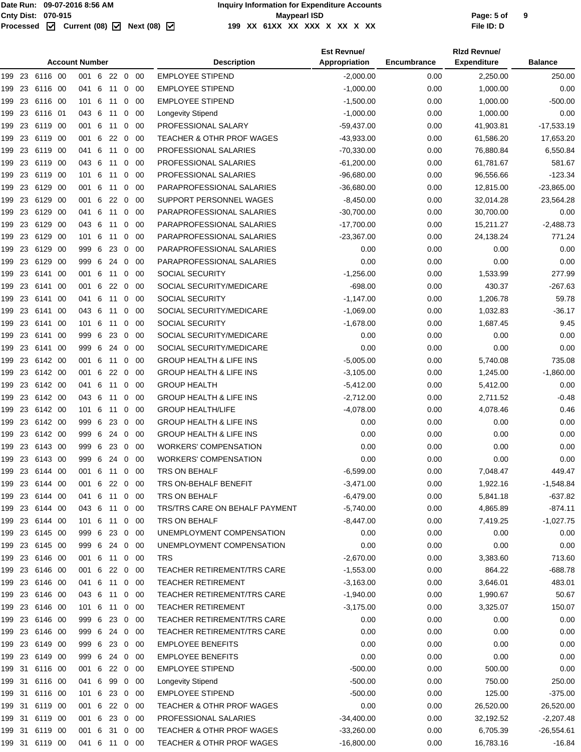|        | <b>Account Number</b> |                |      |                        |     |         |             |             | <b>Description</b>                   | <b>Est Revnue/</b><br>Appropriation | Encumbrance  | <b>Rizd Revnue/</b><br><b>Expenditure</b> | <b>Balance</b> |
|--------|-----------------------|----------------|------|------------------------|-----|---------|-------------|-------------|--------------------------------------|-------------------------------------|--------------|-------------------------------------------|----------------|
|        |                       | 199 23 6116 00 |      | 001 6 22 0 00          |     |         |             |             | <b>EMPLOYEE STIPEND</b>              | $-2,000.00$                         | 0.00         | 2,250.00                                  | 250.00         |
| 199    | 23                    | 6116           | - 00 | 041 6                  |     | 11      | 0           | 00          | <b>EMPLOYEE STIPEND</b>              | $-1,000.00$                         | 0.00         | 1,000.00                                  | 0.00           |
| 199    | 23                    | 6116 00        |      | 101 6                  |     | 11      | 0           | -00         | <b>EMPLOYEE STIPEND</b>              | $-1,500.00$                         | 0.00         | 1,000.00                                  | $-500.00$      |
| 199    | 23                    | 6116 01        |      | 043 6                  |     | 11      | 0           | - 00        | <b>Longevity Stipend</b>             | $-1,000.00$                         | 0.00         | 1,000.00                                  | 0.00           |
| 199    | 23                    | 6119 00        |      | 001 6                  |     | 11      | 0           | 00          | PROFESSIONAL SALARY                  | $-59,437.00$                        | 0.00         | 41,903.81                                 | $-17,533.19$   |
| 199 23 |                       | 6119 00        |      | 001 6                  |     | 22      | 0           | - 00        | <b>TEACHER &amp; OTHR PROF WAGES</b> | $-43,933.00$                        | 0.00         | 61,586.20                                 | 17,653.20      |
| 199    | 23                    | 6119 00        |      | 041 6                  |     | 11      |             | $0\quad 00$ | PROFESSIONAL SALARIES                | $-70,330.00$                        | 0.00         | 76,880.84                                 | 6,550.84       |
| 199    | 23                    | 6119 00        |      | 043 6                  |     | 11      | 0           | 00          | PROFESSIONAL SALARIES                | $-61,200.00$                        | 0.00         | 61,781.67                                 | 581.67         |
| 199    | 23                    | 6119 00        |      | 1016                   |     | 11      | 0           | -00         | PROFESSIONAL SALARIES                | $-96,680.00$                        | 0.00         | 96,556.66                                 | $-123.34$      |
| 199    | 23                    | 6129 00        |      | 001 6                  |     | 11      | 0           | - 00        | PARAPROFESSIONAL SALARIES            | $-36,680.00$                        | 0.00         | 12,815.00                                 | $-23,865.00$   |
| 199    | 23                    | 6129 00        |      | 001 6                  |     | 22      | 0           | 00          | SUPPORT PERSONNEL WAGES              | $-8,450.00$                         | 0.00         | 32,014.28                                 | 23,564.28      |
| 199 23 |                       | 6129 00        |      | 041 6                  |     | 11      | 0           | -00         | PARAPROFESSIONAL SALARIES            | $-30,700.00$                        | 0.00         | 30,700.00                                 | 0.00           |
| 199 23 |                       | 6129 00        |      | 043 6                  |     | 11      |             | $0\quad 00$ | PARAPROFESSIONAL SALARIES            | $-17,700.00$                        | 0.00         | 15,211.27                                 | $-2,488.73$    |
| 199    | 23                    | 6129 00        |      | 101 6                  |     | 11      | 0           | 00          | PARAPROFESSIONAL SALARIES            | $-23,367.00$                        | 0.00         | 24,138.24                                 | 771.24         |
| 199    | 23                    | 6129           | - 00 | 999                    | - 6 | 23      | 0           | -00         | PARAPROFESSIONAL SALARIES            | 0.00                                | 0.00         | 0.00                                      | 0.00           |
| 199    | 23                    | 6129 00        |      | 999 6                  |     | 24      | $\mathbf 0$ | - 00        | PARAPROFESSIONAL SALARIES            | 0.00                                | 0.00         | 0.00                                      | 0.00           |
| 199    | 23                    | 6141 00        |      | 001 6                  |     | 11      | 0           | -00         | <b>SOCIAL SECURITY</b>               | $-1,256.00$                         | 0.00         | 1,533.99                                  | 277.99         |
| 199 23 |                       | 6141 00        |      | 001 6                  |     | 22      | 0           | -00         | SOCIAL SECURITY/MEDICARE             | $-698.00$                           | 0.00         | 430.37                                    | $-267.63$      |
| 199 23 |                       | 6141 00        |      | 041 6                  |     | 11      |             | $0\quad 00$ | SOCIAL SECURITY                      | $-1,147.00$                         | 0.00         | 1,206.78                                  | 59.78          |
| 199    | 23                    | 6141           | -00  | 043 6                  |     | 11      | 0           | 00          | SOCIAL SECURITY/MEDICARE             | $-1,069.00$                         | 0.00         | 1,032.83                                  | $-36.17$       |
| 199    | 23                    | 6141           | - 00 | 101 6                  |     | 11      | 0           | -00         | <b>SOCIAL SECURITY</b>               | $-1,678.00$                         | 0.00         | 1,687.45                                  | 9.45           |
| 199    | 23                    | 6141           | - 00 | 999 6                  |     | 23      | $\mathbf 0$ | - 00        | SOCIAL SECURITY/MEDICARE             | 0.00                                | 0.00         | 0.00                                      | 0.00           |
| 199    | 23                    | 6141           | - 00 | 999 6                  |     | 24      | 0           | 00          | SOCIAL SECURITY/MEDICARE             | 0.00                                | 0.00         | 0.00                                      | 0.00           |
| 199 23 |                       | 6142 00        |      | 001 6                  |     | 11      | 0           | 00          | <b>GROUP HEALTH &amp; LIFE INS</b>   | $-5,005.00$                         | 0.00         | 5,740.08                                  | 735.08         |
| 199 23 |                       | 6142 00        |      | 001 6                  |     | 22      | $\mathbf 0$ | - 00        | <b>GROUP HEALTH &amp; LIFE INS</b>   | $-3,105.00$                         | 0.00         | 1,245.00                                  | $-1,860.00$    |
| 199    | 23                    | 6142 00        |      | 041 6                  |     | 11      | 0           | 00          | <b>GROUP HEALTH</b>                  | $-5,412.00$                         | 0.00         | 5,412.00                                  | 0.00           |
| 199    | 23                    | 6142 00        |      | 043 6                  |     | 11      | 0           | 00          | <b>GROUP HEALTH &amp; LIFE INS</b>   | $-2,712.00$                         | 0.00         | 2,711.52                                  | $-0.48$        |
| 199    | 23                    | 6142 00        |      | 101 6                  |     | 11      | 0           | - 00        | <b>GROUP HEALTH/LIFE</b>             | $-4,078.00$                         | 0.00         | 4,078.46                                  | 0.46           |
| 199    | 23                    | 6142 00        |      | 999 6                  |     | 23      | 0           | 00          | <b>GROUP HEALTH &amp; LIFE INS</b>   | 0.00                                | 0.00         | 0.00                                      | 0.00           |
| 199    | 23                    | 6142 00        |      | 999 6                  |     | 24      | 0           | 00          | <b>GROUP HEALTH &amp; LIFE INS</b>   | 0.00                                | 0.00         | 0.00                                      | 0.00           |
| 199 23 |                       | 6143 00        |      | 999 6                  |     | 23 0    |             | - 00        | <b>WORKERS' COMPENSATION</b>         | 0.00                                | 0.00         | 0.00                                      | 0.00           |
| 199 23 |                       | 6143 00        |      | 999 6                  |     | 24 0    |             | - 00        | <b>WORKERS' COMPENSATION</b>         | 0.00                                | 0.00         | 0.00                                      | 0.00           |
|        |                       | 199 23 6144 00 |      | 001 6 11 0 00          |     |         |             |             | TRS ON BEHALF                        | $-6,599.00$                         | 0.00         | 7,048.47                                  | 449.47         |
|        |                       | 199 23 6144 00 |      | 001 6 22 0 00          |     |         |             |             | TRS ON-BEHALF BENEFIT                | $-3,471.00$                         | 0.00         | 1,922.16                                  | $-1,548.84$    |
|        |                       | 199 23 6144 00 |      |                        |     |         |             | $0\quad00$  | TRS ON BEHALF                        | $-6,479.00$                         |              |                                           | $-637.82$      |
|        |                       | 199 23 6144 00 |      | 041 6<br>043 6 11 0 00 |     | 11      |             |             | TRS/TRS CARE ON BEHALF PAYMENT       | $-5,740.00$                         | 0.00<br>0.00 | 5,841.18<br>4,865.89                      | $-874.11$      |
|        |                       | 199 23 6144 00 |      | 101 6 11 0 00          |     |         |             |             | TRS ON BEHALF                        | $-8,447.00$                         | 0.00         | 7,419.25                                  | $-1,027.75$    |
|        |                       | 199 23 6145 00 |      | 999 6                  |     | 23      |             | $0\quad00$  | UNEMPLOYMENT COMPENSATION            | 0.00                                | 0.00         | 0.00                                      | 0.00           |
|        |                       | 199 23 6145 00 |      | 999 6 24 0 00          |     |         |             |             | UNEMPLOYMENT COMPENSATION            | 0.00                                | 0.00         | 0.00                                      | 0.00           |
|        |                       | 199 23 6146 00 |      | 001 6 11 0 00          |     |         |             |             | <b>TRS</b>                           | $-2,670.00$                         | 0.00         | 3,383.60                                  | 713.60         |
| 199 23 |                       | 6146 00        |      | 001 6                  |     | 22      |             | $0\quad 00$ | TEACHER RETIREMENT/TRS CARE          | $-1,553.00$                         | 0.00         | 864.22                                    | $-688.78$      |
|        |                       | 199 23 6146 00 |      | 041 6 11 0 00          |     |         |             |             | <b>TEACHER RETIREMENT</b>            | $-3,163.00$                         | 0.00         | 3,646.01                                  | 483.01         |
|        |                       | 199 23 6146 00 |      | 043 6 11 0 00          |     |         |             |             | TEACHER RETIREMENT/TRS CARE          | $-1,940.00$                         | 0.00         | 1,990.67                                  | 50.67          |
|        |                       | 199 23 6146 00 |      | 101 6 11               |     |         |             | $0\quad00$  | <b>TEACHER RETIREMENT</b>            | $-3,175.00$                         | 0.00         | 3,325.07                                  | 150.07         |
|        |                       | 199 23 6146 00 |      | 999 6                  |     | 23 0 00 |             |             | TEACHER RETIREMENT/TRS CARE          | 0.00                                | 0.00         | 0.00                                      | 0.00           |
|        |                       | 199 23 6146 00 |      | 999 6 24 0 00          |     |         |             |             | <b>TEACHER RETIREMENT/TRS CARE</b>   | 0.00                                | 0.00         | 0.00                                      | 0.00           |
|        |                       | 199 23 6149 00 |      | 999 6                  |     | 23 0 00 |             |             | <b>EMPLOYEE BENEFITS</b>             | 0.00                                | 0.00         | 0.00                                      | 0.00           |
|        |                       | 199 23 6149 00 |      | 999 6 24 0 00          |     |         |             |             | <b>EMPLOYEE BENEFITS</b>             | 0.00                                | 0.00         | 0.00                                      | 0.00           |
|        |                       | 199 31 6116 00 |      | 001 6 22 0 00          |     |         |             |             | <b>EMPLOYEE STIPEND</b>              | $-500.00$                           | 0.00         | 500.00                                    | 0.00           |
|        |                       | 199 31 6116 00 |      | 041 6                  |     | 99      |             | $0\quad00$  | Longevity Stipend                    | $-500.00$                           | 0.00         | 750.00                                    | 250.00         |
|        |                       | 199 31 6116 00 |      | 101 6                  |     | 23 0 00 |             |             | <b>EMPLOYEE STIPEND</b>              | $-500.00$                           | 0.00         | 125.00                                    | $-375.00$      |
|        |                       | 199 31 6119 00 |      | 001 6 22 0 00          |     |         |             |             | <b>TEACHER &amp; OTHR PROF WAGES</b> | 0.00                                | 0.00         | 26,520.00                                 | 26,520.00      |
|        |                       | 199 31 6119 00 |      | 001 6                  |     | 23 0 00 |             |             | PROFESSIONAL SALARIES                | $-34,400.00$                        | 0.00         | 32,192.52                                 | $-2,207.48$    |
|        |                       | 199 31 6119 00 |      | 001 6 31 0 00          |     |         |             |             | <b>TEACHER &amp; OTHR PROF WAGES</b> | $-33,260.00$                        | 0.00         | 6,705.39                                  | $-26,554.61$   |
|        |                       | 199 31 6119 00 |      | 041 6 11 0 00          |     |         |             |             | TEACHER & OTHR PROF WAGES            | $-16,800.00$                        | 0.00         | 16,783.16                                 | $-16.84$       |
|        |                       |                |      |                        |     |         |             |             |                                      |                                     |              |                                           |                |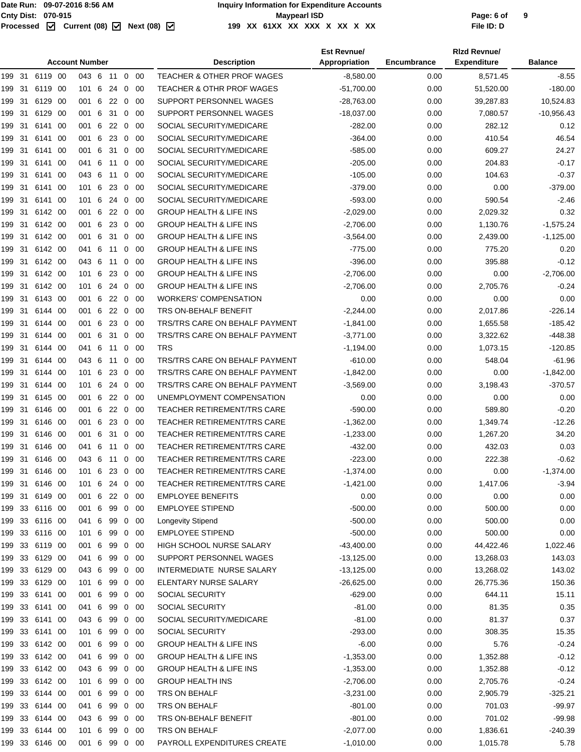|                | <b>Account Number</b> |         |      |               |  |            |                |             | <b>Description</b>                   | <b>Est Revnue/</b><br>Appropriation | <b>Encumbrance</b> | <b>Rizd Revnue/</b><br><b>Expenditure</b> | <b>Balance</b> |
|----------------|-----------------------|---------|------|---------------|--|------------|----------------|-------------|--------------------------------------|-------------------------------------|--------------------|-------------------------------------------|----------------|
| 199 31         |                       | 6119 00 |      | 043 6 11      |  |            |                | $0\quad 00$ | TEACHER & OTHER PROF WAGES           | $-8,580.00$                         | 0.00               | 8,571.45                                  | $-8.55$        |
| 199            | -31                   | 6119 00 |      | 101 6         |  | 24         | $\mathbf 0$    | -00         | <b>TEACHER &amp; OTHR PROF WAGES</b> | $-51,700.00$                        | 0.00               | 51,520.00                                 | $-180.00$      |
| 199 31         |                       | 6129    | -00  | 001 6         |  | 22         | $\overline{0}$ | -00         | SUPPORT PERSONNEL WAGES              | -28,763.00                          | 0.00               | 39,287.83                                 | 10,524.83      |
| 199 31         |                       | 6129 00 |      | 001 6         |  | 31         | $\overline{0}$ | -00         | SUPPORT PERSONNEL WAGES              | $-18,037.00$                        | 0.00               | 7,080.57                                  | $-10,956.43$   |
| 199            | 31                    | 6141 00 |      | 001 6         |  | 22         | $\overline{0}$ | -00         | SOCIAL SECURITY/MEDICARE             | $-282.00$                           | 0.00               | 282.12                                    | 0.12           |
| 199            | 31                    | 6141    | - 00 | 001 6         |  | 23         | $\mathbf 0$    | -00         | SOCIAL SECURITY/MEDICARE             | $-364.00$                           | 0.00               | 410.54                                    | 46.54          |
| 199            | 31                    | 6141    | - 00 | 001 6         |  | 31         | 0              | -00         | SOCIAL SECURITY/MEDICARE             | $-585.00$                           | 0.00               | 609.27                                    | 24.27          |
| 199            | 31                    | 6141    | - 00 | 041 6         |  | 11         | $\mathbf{0}$   | 00          | SOCIAL SECURITY/MEDICARE             | $-205.00$                           | 0.00               | 204.83                                    | $-0.17$        |
| 199 31         |                       | 6141    | - 00 | 043 6         |  | 11         | 0              | 00          | SOCIAL SECURITY/MEDICARE             | $-105.00$                           | 0.00               | 104.63                                    | $-0.37$        |
| 199            | 31                    | 6141 00 |      | 101 6         |  | 23         | $\mathbf 0$    | -00         | SOCIAL SECURITY/MEDICARE             | $-379.00$                           | 0.00               | 0.00                                      | $-379.00$      |
| 199 31         |                       | 6141 00 |      | 101 6         |  | -24        | $\overline{0}$ | 00          | SOCIAL SECURITY/MEDICARE             | $-593.00$                           | 0.00               | 590.54                                    | $-2.46$        |
| 199 31         |                       | 6142 00 |      | 001 6         |  | 22         | $\overline{0}$ | 00          | <b>GROUP HEALTH &amp; LIFE INS</b>   | $-2,029.00$                         | 0.00               | 2,029.32                                  | 0.32           |
| 199            | 31                    | 6142 00 |      | 001 6         |  | 23         | $\mathbf 0$    | -00         | <b>GROUP HEALTH &amp; LIFE INS</b>   | $-2,706.00$                         | 0.00               | 1,130.76                                  | $-1,575.24$    |
| 199            | 31                    | 6142 00 |      | 001 6         |  | 31         | $\mathbf 0$    | -00         | <b>GROUP HEALTH &amp; LIFE INS</b>   | $-3,564.00$                         | 0.00               | 2,439.00                                  | $-1,125.00$    |
| 199            | 31                    | 6142 00 |      | 041 6         |  | 11         | $\mathbf 0$    | -00         | <b>GROUP HEALTH &amp; LIFE INS</b>   | $-775.00$                           | 0.00               | 775.20                                    | 0.20           |
| 199            | 31                    | 6142 00 |      | 043 6         |  | 11         | $\mathbf 0$    | -00         | <b>GROUP HEALTH &amp; LIFE INS</b>   | $-396.00$                           | 0.00               | 395.88                                    | $-0.12$        |
| 199            | 31                    | 6142 00 |      | 101 6         |  | -23        | $\overline{0}$ | -00         | <b>GROUP HEALTH &amp; LIFE INS</b>   | $-2,706.00$                         | 0.00               | 0.00                                      | $-2,706.00$    |
| 199            | 31                    | 6142 00 |      | 101 6         |  | 24         | $\mathbf 0$    | -00         | <b>GROUP HEALTH &amp; LIFE INS</b>   | $-2,706.00$                         | 0.00               | 2,705.76                                  | $-0.24$        |
| 199            | 31                    | 6143 00 |      | 001 6         |  | 22         | $\mathbf 0$    | -00         | <b>WORKERS' COMPENSATION</b>         | 0.00                                | 0.00               | 0.00                                      | 0.00           |
| 199            | 31                    | 6144 00 |      | 001 6         |  | $22\quad0$ |                | 00          | TRS ON-BEHALF BENEFIT                | $-2,244.00$                         | 0.00               | 2,017.86                                  | $-226.14$      |
| 199 31         |                       | 6144 00 |      | 001 6         |  | 23         | $\overline{0}$ | -00         | TRS/TRS CARE ON BEHALF PAYMENT       | $-1,841.00$                         | 0.00               | 1,655.58                                  | $-185.42$      |
| 199            | 31                    | 6144 00 |      | 001 6         |  | 31         | $\mathbf 0$    | -00         | TRS/TRS CARE ON BEHALF PAYMENT       | $-3,771.00$                         | 0.00               | 3,322.62                                  | $-448.38$      |
| 199 31         |                       | 6144 00 |      | 041 6 11 0 00 |  |            |                |             | <b>TRS</b>                           | $-1,194.00$                         | 0.00               | 1,073.15                                  | $-120.85$      |
| 199 31         |                       | 6144 00 |      | 043 6         |  | 11         | $\mathbf{0}$   | -00         | TRS/TRS CARE ON BEHALF PAYMENT       | $-610.00$                           | 0.00               | 548.04                                    | $-61.96$       |
| 199            | 31                    | 6144 00 |      | 101 6         |  | 23         | $\mathbf 0$    | -00         | TRS/TRS CARE ON BEHALF PAYMENT       | $-1,842.00$                         | 0.00               | 0.00                                      | $-1,842.00$    |
| 199            | 31                    | 6144 00 |      | 101 6         |  | 24         | $\mathbf 0$    | -00         | TRS/TRS CARE ON BEHALF PAYMENT       | $-3,569.00$                         | 0.00               | 3,198.43                                  | $-370.57$      |
| 199 31         |                       | 6145 00 |      | 001 6         |  | 22         | $\overline{0}$ | -00         | UNEMPLOYMENT COMPENSATION            | 0.00                                | 0.00               | 0.00                                      | 0.00           |
| 199            | 31                    | 6146 00 |      | 001 6         |  | 22 0       |                | -00         | TEACHER RETIREMENT/TRS CARE          | $-590.00$                           | 0.00               | 589.80                                    | $-0.20$        |
| 199            | 31                    | 6146 00 |      | 001 6 23 0    |  |            |                | -00         | <b>TEACHER RETIREMENT/TRS CARE</b>   | $-1,362.00$                         | 0.00               | 1,349.74                                  | $-12.26$       |
| 199            | 31                    | 6146 00 |      | 001 6         |  | -31        | 0              | -00         | <b>TEACHER RETIREMENT/TRS CARE</b>   | $-1,233.00$                         | 0.00               | 1,267.20                                  | 34.20          |
| 199            | 31                    | 6146 00 |      | 041 6         |  | 11         | 0              | -00         | TEACHER RETIREMENT/TRS CARE          | $-432.00$                           | 0.00               | 432.03                                    | 0.03           |
| 199 31 6146 00 |                       |         |      | 043 6 11 0 00 |  |            |                |             | <b>TEACHER RETIREMENT/TRS CARE</b>   | $-223.00$                           | 0.00               | 222.38                                    | $-0.62$        |
| 199 31         |                       | 6146 00 |      | 101 6         |  | 23         | $\bf{0}$       | 00          | TEACHER RETIREMENT/TRS CARE          | $-1,374.00$                         | 0.00               | 0.00                                      | $-1,374.00$    |
| 199 31         |                       | 6146 00 |      | 101 6         |  | 24 0 00    |                |             | <b>TEACHER RETIREMENT/TRS CARE</b>   | $-1,421.00$                         | 0.00               | 1,417.06                                  | $-3.94$        |
| 199 31         |                       | 6149 00 |      | 001 6 22 0 00 |  |            |                |             | <b>EMPLOYEE BENEFITS</b>             | 0.00                                | 0.00               | 0.00                                      | 0.00           |
| 199 33 6116 00 |                       |         |      | 001 6         |  | 99         |                | $0\quad 00$ | <b>EMPLOYEE STIPEND</b>              | $-500.00$                           | 0.00               | 500.00                                    | 0.00           |
| 199 33 6116 00 |                       |         |      | 041 6         |  | 99         | $\mathbf{0}$   | -00         | Longevity Stipend                    | $-500.00$                           | 0.00               | 500.00                                    | 0.00           |
| 199 33 6116 00 |                       |         |      | 101 6         |  | 99         |                | $0\quad 00$ | <b>EMPLOYEE STIPEND</b>              | $-500.00$                           | 0.00               | 500.00                                    | 0.00           |
| 199 33 6119 00 |                       |         |      | 001 6         |  | 99         |                | $0\quad00$  | <b>HIGH SCHOOL NURSE SALARY</b>      | $-43,400.00$                        | 0.00               | 44,422.46                                 | 1,022.46       |
| 199 33 6129 00 |                       |         |      | 041 6         |  | 99         |                | $0\quad 00$ | SUPPORT PERSONNEL WAGES              | $-13,125.00$                        | 0.00               | 13,268.03                                 | 143.03         |
| 199 33 6129 00 |                       |         |      | 043 6 99      |  |            |                | $0\quad 00$ | INTERMEDIATE NURSE SALARY            | $-13,125.00$                        | 0.00               | 13,268.02                                 | 143.02         |
| 199 33 6129 00 |                       |         |      | 101 6         |  | 99         |                | $0\quad00$  | ELENTARY NURSE SALARY                | $-26,625.00$                        | 0.00               | 26,775.36                                 | 150.36         |
| 199 33 6141 00 |                       |         |      | 001 6         |  | 99         | $\mathbf 0$    | 00          | SOCIAL SECURITY                      | $-629.00$                           | 0.00               | 644.11                                    | 15.11          |
| 199 33 6141 00 |                       |         |      | 041 6         |  | 99         |                | $0\quad 00$ | SOCIAL SECURITY                      | $-81.00$                            | 0.00               | 81.35                                     | 0.35           |
| 199 33 6141 00 |                       |         |      | 043 6         |  | 99         |                | $0\quad00$  | SOCIAL SECURITY/MEDICARE             | $-81.00$                            | 0.00               | 81.37                                     | 0.37           |
| 199 33 6141 00 |                       |         |      | 101 6         |  | 99         |                | $0\quad 00$ | SOCIAL SECURITY                      | $-293.00$                           | 0.00               | 308.35                                    | 15.35          |
| 199 33 6142 00 |                       |         |      | 001 6 99      |  |            |                | $0\quad 00$ | <b>GROUP HEALTH &amp; LIFE INS</b>   | $-6.00$                             | 0.00               | 5.76                                      | $-0.24$        |
| 199 33 6142 00 |                       |         |      | 041 6         |  | 99         |                | $0\quad00$  | <b>GROUP HEALTH &amp; LIFE INS</b>   | $-1,353.00$                         | 0.00               | 1,352.88                                  | $-0.12$        |
| 199 33 6142 00 |                       |         |      | 043 6         |  | 99         |                | $0\quad 00$ | <b>GROUP HEALTH &amp; LIFE INS</b>   | $-1,353.00$                         | 0.00               | 1,352.88                                  | $-0.12$        |
| 199 33 6142 00 |                       |         |      | 101 6         |  | 99         |                | 0 00        | <b>GROUP HEALTH INS</b>              | $-2,706.00$                         | 0.00               | 2,705.76                                  | $-0.24$        |
| 199 33 6144 00 |                       |         |      | 001 6         |  | 99         |                | $0\quad00$  | TRS ON BEHALF                        | $-3,231.00$                         | 0.00               | 2,905.79                                  | $-325.21$      |
| 199 33 6144 00 |                       |         |      | 041 6         |  | 99         |                | $0\quad00$  | TRS ON BEHALF                        | $-801.00$                           | 0.00               | 701.03                                    | -99.97         |
| 199 33 6144 00 |                       |         |      | 043 6 99      |  |            |                | $0\quad 00$ | TRS ON-BEHALF BENEFIT                | $-801.00$                           | 0.00               | 701.02                                    | $-99.98$       |
| 199 33 6144 00 |                       |         |      | 101 6 99      |  |            |                | $0\quad00$  | TRS ON BEHALF                        | $-2,077.00$                         | 0.00               | 1,836.61                                  | $-240.39$      |
| 199 33 6146 00 |                       |         |      | 001 6 99 0 00 |  |            |                |             | PAYROLL EXPENDITURES CREATE          | $-1,010.00$                         | 0.00               | 1,015.78                                  | 5.78           |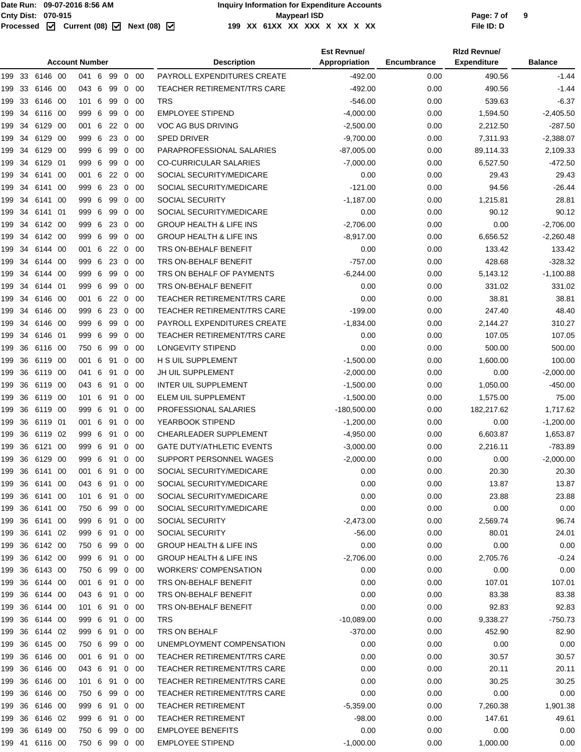|                | <b>Account Number</b> |      |               |   |            |                |             | <b>Description</b>                 | <b>Est Revnue/</b><br>Appropriation | Encumbrance | <b>Rizd Revnue/</b><br><b>Expenditure</b> | <b>Balance</b> |
|----------------|-----------------------|------|---------------|---|------------|----------------|-------------|------------------------------------|-------------------------------------|-------------|-------------------------------------------|----------------|
| 199 33 6146 00 |                       |      | 041 6 99 0 00 |   |            |                |             | PAYROLL EXPENDITURES CREATE        | $-492.00$                           | 0.00        | 490.56                                    | $-1.44$        |
| 33<br>199      | 6146                  | - 00 | 043 6         |   | 99         | 0              | -00         | <b>TEACHER RETIREMENT/TRS CARE</b> | $-492.00$                           | 0.00        | 490.56                                    | $-1.44$        |
| 33<br>199      | 6146                  | - 00 | 101           | 6 | 99         | 0              | -00         | <b>TRS</b>                         | $-546.00$                           | 0.00        | 539.63                                    | $-6.37$        |
| 34<br>199      | 6116 00               |      | 999 6         |   | 99         | $\mathbf 0$    | - 00        | <b>EMPLOYEE STIPEND</b>            | $-4,000.00$                         | 0.00        | 1,594.50                                  | $-2,405.50$    |
| 34<br>199      | 6129 00               |      | 001 6         |   | 22         | $\mathbf 0$    | -00         | VOC AG BUS DRIVING                 | $-2,500.00$                         | 0.00        | 2,212.50                                  | $-287.50$      |
| 34<br>199      | 6129 00               |      | 999 6         |   | 23         | 0              | -00         | <b>SPED DRIVER</b>                 | $-9,700.00$                         | 0.00        | 7,311.93                                  | $-2,388.07$    |
| 34<br>199      | 6129 00               |      | 999           | 6 | 99         | 0              | -00         | PARAPROFESSIONAL SALARIES          | $-87,005.00$                        | 0.00        | 89,114.33                                 | 2,109.33       |
| 34<br>199      | 6129 01               |      | 999           | 6 | 99         | 0              | 00          | <b>CO-CURRICULAR SALARIES</b>      | $-7,000.00$                         | 0.00        | 6,527.50                                  | $-472.50$      |
| 34<br>199      | 6141 00               |      | 001           | 6 | 22         | $\overline{0}$ | -00         | SOCIAL SECURITY/MEDICARE           | 0.00                                | 0.00        | 29.43                                     | 29.43          |
| 34<br>199      | 6141 00               |      | 999 6         |   | 23         | 0              | -00         | SOCIAL SECURITY/MEDICARE           | $-121.00$                           | 0.00        | 94.56                                     | $-26.44$       |
| 34<br>199      | 6141 00               |      | 999 6         |   | 99         | $\mathbf 0$    | 00          | <b>SOCIAL SECURITY</b>             | $-1,187.00$                         | 0.00        | 1,215.81                                  | 28.81          |
| 34<br>199      | 6141 01               |      | 999 6         |   | 99         | 0              | -00         | SOCIAL SECURITY/MEDICARE           | 0.00                                | 0.00        | 90.12                                     | 90.12          |
| 34<br>199      | 6142 00               |      | 999 6         |   | 23         | $\overline{0}$ | -00         | <b>GROUP HEALTH &amp; LIFE INS</b> | $-2,706.00$                         | 0.00        | 0.00                                      | $-2,706.00$    |
| 34<br>199      | 6142 00               |      | 999 6         |   | 99         | 0              | 00          | <b>GROUP HEALTH &amp; LIFE INS</b> | $-8,917.00$                         | 0.00        | 6,656.52                                  | $-2,260.48$    |
| 199<br>34      | 6144 00               |      | 001           | 6 | 22         | $\mathbf 0$    | -00         | TRS ON-BEHALF BENEFIT              | 0.00                                | 0.00        | 133.42                                    | 133.42         |
| 34<br>199      | 6144 00               |      | 999 6         |   | 23         | $\overline{0}$ | - 00        | TRS ON-BEHALF BENEFIT              | $-757.00$                           | 0.00        | 428.68                                    | $-328.32$      |
| 34<br>199      | 6144 00               |      | 999           | 6 | 99         | $\mathbf 0$    | -00         | TRS ON BEHALF OF PAYMENTS          | $-6,244.00$                         | 0.00        | 5,143.12                                  | $-1,100.88$    |
| 34<br>199      | 6144 01               |      | 999 6         |   | 99         | 0              | -00         | TRS ON-BEHALF BENEFIT              | 0.00                                | 0.00        | 331.02                                    | 331.02         |
| 34<br>199      | 6146 00               |      | 001           | 6 | $22\quad0$ |                | - 00        | TEACHER RETIREMENT/TRS CARE        | 0.00                                | 0.00        | 38.81                                     | 38.81          |
| 34<br>199      | 6146 00               |      | 999           | 6 | 23         | 0              | 00          | <b>TEACHER RETIREMENT/TRS CARE</b> | $-199.00$                           | 0.00        | 247.40                                    | 48.40          |
| 34<br>199      | 6146 00               |      | 999           | 6 | 99         | 0              | -00         | PAYROLL EXPENDITURES CREATE        | $-1,834.00$                         | 0.00        | 2,144.27                                  | 310.27         |
| 34<br>199      | 6146 01               |      | 999 6         |   | 99         | 0              | - 00        | <b>TEACHER RETIREMENT/TRS CARE</b> | 0.00                                | 0.00        | 107.05                                    | 107.05         |
| 36<br>199      | 6116 00               |      | 750 6         |   | 99         | $\mathbf 0$    | 00          | <b>LONGEVITY STIPEND</b>           | 0.00                                | 0.00        | 500.00                                    | 500.00         |
| 36<br>199      | 6119 00               |      | 001 6         |   | 91         | 0              | - 00        | H S UIL SUPPLEMENT                 | $-1,500.00$                         | 0.00        | 1,600.00                                  | 100.00         |
| 36<br>199      | 6119 00               |      | 041           |   | 6 91       | $\mathbf{0}$   | - 00        | JH UIL SUPPLEMENT                  | $-2,000.00$                         | 0.00        | 0.00                                      | $-2,000.00$    |
| 36<br>199      | 6119 00               |      | 043 6         |   | 91         | 0              | -00         | <b>INTER UIL SUPPLEMENT</b>        | $-1,500.00$                         | 0.00        | 1,050.00                                  | -450.00        |
| 36<br>199      | 6119 00               |      | 101           | 6 | 91         | 0              | -00         | ELEM UIL SUPPLEMENT                | $-1,500.00$                         | 0.00        | 1,575.00                                  | 75.00          |
| 36<br>199      | 6119 00               |      | 999 6         |   | 91         | $\mathbf 0$    | - 00        | PROFESSIONAL SALARIES              | $-180,500.00$                       | 0.00        | 182,217.62                                | 1,717.62       |
| 36<br>199      | 6119 01               |      | 001 6         |   | 91         | 0              | -00         | YEARBOOK STIPEND                   | $-1,200.00$                         | 0.00        | 0.00                                      | $-1,200.00$    |
| 36<br>199      | 6119 02               |      | 999 6         |   | 91         | 0              | -00         | CHEARLEADER SUPPLEMENT             | $-4,950.00$                         | 0.00        | 6,603.87                                  | 1,653.87       |
| 36<br>199      | 6121 00               |      | 999 6 91      |   |            | 0              | - 00        | <b>GATE DUTY/ATHLETIC EVENTS</b>   | $-3,000.00$                         | 0.00        | 2,216.11                                  | $-783.89$      |
| 199<br>36      | 6129 00               |      | 999 6 91      |   |            | 0              | - 00        | SUPPORT PERSONNEL WAGES            | $-2,000.00$                         | 0.00        | 0.00                                      | $-2,000.00$    |
| 199 36 6141 00 |                       |      | 001 6 91 0 00 |   |            |                |             | SOCIAL SECURITY/MEDICARE           | 0.00                                | 0.00        | 20.30                                     | 20.30          |
| 199 36 6141 00 |                       |      | 043 6 91 0 00 |   |            |                |             | SOCIAL SECURITY/MEDICARE           | 0.00                                | 0.00        | 13.87                                     | 13.87          |
| 199 36         | 6141 00               |      | 101 6         |   | 91         |                | $0\quad 00$ | SOCIAL SECURITY/MEDICARE           | 0.00                                | 0.00        | 23.88                                     | 23.88          |
| 199 36 6141 00 |                       |      | 750 6 99      |   |            |                | 0 00        | SOCIAL SECURITY/MEDICARE           | 0.00                                | 0.00        | 0.00                                      | 0.00           |
| 199 36 6141 00 |                       |      | 999 6 91 0 00 |   |            |                |             | SOCIAL SECURITY                    | $-2,473.00$                         | 0.00        | 2,569.74                                  | 96.74          |
| 199 36         | 6141 02               |      | 999 6 91      |   |            | 0              | -00         | SOCIAL SECURITY                    | $-56.00$                            | 0.00        | 80.01                                     | 24.01          |
| 199 36 6142 00 |                       |      | 750 6 99      |   |            |                | 0 00        | <b>GROUP HEALTH &amp; LIFE INS</b> | 0.00                                | 0.00        | 0.00                                      | 0.00           |
| 199 36 6142 00 |                       |      | 999 6 91 0 00 |   |            |                |             | <b>GROUP HEALTH &amp; LIFE INS</b> | $-2,706.00$                         | 0.00        | 2,705.76                                  | $-0.24$        |
| 199 36         | 6143 00               |      | 750 6 99      |   |            |                | $0\quad 00$ | <b>WORKERS' COMPENSATION</b>       | 0.00                                | 0.00        | 0.00                                      | 0.00           |
| 199 36         | 6144 00               |      | 001 6 91 0 00 |   |            |                |             | TRS ON-BEHALF BENEFIT              | 0.00                                | 0.00        | 107.01                                    | 107.01         |
| 199 36 6144 00 |                       |      | 043 6 91 0 00 |   |            |                |             | TRS ON-BEHALF BENEFIT              | 0.00                                | 0.00        | 83.38                                     | 83.38          |
| 199 36         | 6144 00               |      | 101 6 91      |   |            | $\overline{0}$ | - 00        | TRS ON-BEHALF BENEFIT              | 0.00                                | 0.00        | 92.83                                     | 92.83          |
| 199 36         | 6144 00               |      | 999 6 91 0 00 |   |            |                |             | <b>TRS</b>                         | $-10,089.00$                        | 0.00        | 9,338.27                                  | $-750.73$      |
| 199 36 6144 02 |                       |      | 999 6 91 0 00 |   |            |                |             | TRS ON BEHALF                      | $-370.00$                           | 0.00        | 452.90                                    | 82.90          |
| 199 36         | 6145 00               |      | 750 6         |   | 99         |                | $0\quad 00$ | UNEMPLOYMENT COMPENSATION          | 0.00                                | 0.00        | 0.00                                      | 0.00           |
| 199 36 6146 00 |                       |      | 001 6 91 0 00 |   |            |                |             | <b>TEACHER RETIREMENT/TRS CARE</b> | 0.00                                | 0.00        | 30.57                                     | 30.57          |
| 199 36 6146 00 |                       |      | 043 6 91 0 00 |   |            |                |             | TEACHER RETIREMENT/TRS CARE        | 0.00                                | 0.00        | 20.11                                     | 20.11          |
| 199 36         | 6146 00               |      | 101 6 91      |   |            | $\mathbf 0$    | - 00        | <b>TEACHER RETIREMENT/TRS CARE</b> | 0.00                                | 0.00        | 30.25                                     | 30.25          |
| 199 36 6146 00 |                       |      | 750 6 99      |   |            |                | 0 00        | <b>TEACHER RETIREMENT/TRS CARE</b> | 0.00                                | 0.00        | 0.00                                      | 0.00           |
| 199 36 6146 00 |                       |      | 999 6 91 0 00 |   |            |                |             | <b>TEACHER RETIREMENT</b>          | $-5,359.00$                         | 0.00        | 7,260.38                                  | 1,901.38       |
| 199 36         | 6146 02               |      | 999 6 91      |   |            | $\mathbf 0$    | - 00        | <b>TEACHER RETIREMENT</b>          | $-98.00$                            | 0.00        | 147.61                                    | 49.61          |
| 199 36 6149 00 |                       |      | 750 6 99      |   |            |                | 0 00        | <b>EMPLOYEE BENEFITS</b>           | 0.00                                | 0.00        | 0.00                                      | 0.00           |
| 199 41 6116 00 |                       |      | 750 6 99 0 00 |   |            |                |             | <b>EMPLOYEE STIPEND</b>            | $-1,000.00$                         | 0.00        | 1,000.00                                  | 0.00           |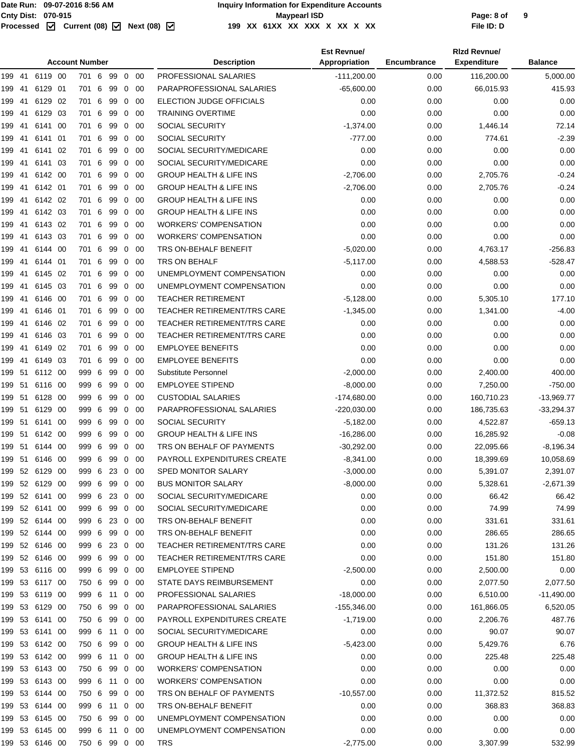#### Cnty Dist: 070-915<br> **Page: 8 of**<br>
Processed **M** Current (08) M Next (08) M 199 XX 61XX XX XX X XX X XX XX **199 XX 61XX XX XXX X XX X XX File ID: D**

|        | <b>Account Number</b> |                |      |               |   |    |                |             | <b>Description</b>                 | <b>Est Revnue/</b><br>Appropriation | Encumbrance | <b>Rizd Revnue/</b><br><b>Expenditure</b> | <b>Balance</b> |
|--------|-----------------------|----------------|------|---------------|---|----|----------------|-------------|------------------------------------|-------------------------------------|-------------|-------------------------------------------|----------------|
| 199    | 41                    | 6119 00        |      | 701 6         |   | 99 |                | $0\quad00$  | PROFESSIONAL SALARIES              | $-111,200.00$                       | 0.00        | 116,200.00                                | 5,000.00       |
| 199 41 |                       | 6129 01        |      | 701 6         |   | 99 | $\overline{0}$ | -00         | PARAPROFESSIONAL SALARIES          | $-65,600.00$                        | 0.00        | 66,015.93                                 | 415.93         |
| 199    | -41                   | 6129           | 02   | 701 6         |   | 99 | $\mathbf 0$    | -00         | ELECTION JUDGE OFFICIALS           | 0.00                                | 0.00        | 0.00                                      | 0.00           |
| 199    | -41                   | 6129           | 03   | 701 6         |   | 99 | 0              | 00          | <b>TRAINING OVERTIME</b>           | 0.00                                | 0.00        | 0.00                                      | 0.00           |
| 199    | -41                   | 6141           | - 00 | 701 6         |   | 99 | $\mathbf{0}$   | -00         | <b>SOCIAL SECURITY</b>             | $-1,374.00$                         | 0.00        | 1,446.14                                  | 72.14          |
| 199    | -41                   | 6141           | -01  | 701 6         |   | 99 | $\overline{0}$ | -00         | <b>SOCIAL SECURITY</b>             | $-777.00$                           | 0.00        | 774.61                                    | $-2.39$        |
| 199    | -41                   | 6141 02        |      | 701 6         |   | 99 | $\mathbf 0$    | -00         | SOCIAL SECURITY/MEDICARE           | 0.00                                | 0.00        | 0.00                                      | 0.00           |
| 199    | -41                   | 6141 03        |      | 701 6         |   | 99 | $\mathbf 0$    | -00         | SOCIAL SECURITY/MEDICARE           | 0.00                                | 0.00        | 0.00                                      | 0.00           |
| 199    | -41                   | 6142 00        |      | 701 6         |   | 99 | $\mathbf 0$    | -00         | <b>GROUP HEALTH &amp; LIFE INS</b> | $-2,706.00$                         | 0.00        | 2,705.76                                  | $-0.24$        |
| 199    | -41                   | 6142 01        |      | 701           | 6 | 99 | 0              | -00         | <b>GROUP HEALTH &amp; LIFE INS</b> | $-2,706.00$                         | 0.00        | 2,705.76                                  | $-0.24$        |
| 199    | -41                   | 6142 02        |      | 701 6         |   | 99 | $\mathbf{0}$   | -00         | <b>GROUP HEALTH &amp; LIFE INS</b> | 0.00                                | 0.00        | 0.00                                      | 0.00           |
|        | -41                   | 6142 03        |      | 701 6         |   | 99 | $\overline{0}$ | -00         | <b>GROUP HEALTH &amp; LIFE INS</b> | 0.00                                | 0.00        | 0.00                                      | 0.00           |
| 199    | -41                   | 6143 02        |      | 701 6         |   | 99 |                | -00         | <b>WORKERS' COMPENSATION</b>       | 0.00                                | 0.00        | 0.00                                      | 0.00           |
| 199    |                       |                |      |               |   |    | $\mathbf 0$    |             |                                    |                                     |             |                                           |                |
| 199    | -41                   | 6143 03        |      | 701 6         |   | 99 | $\mathbf{0}$   | -00         | <b>WORKERS' COMPENSATION</b>       | 0.00                                | 0.00        | 0.00                                      | 0.00           |
| 199    | -41                   | 6144 00        |      | 701 6         |   | 99 | $\mathbf 0$    | -00         | TRS ON-BEHALF BENEFIT              | $-5,020.00$                         | 0.00        | 4,763.17                                  | $-256.83$      |
| 199    | 41                    | 6144 01        |      | 701 6         |   | 99 | 0              | 00          | TRS ON BEHALF                      | $-5,117.00$                         | 0.00        | 4,588.53                                  | $-528.47$      |
| 199    | -41                   | 6145 02        |      | 701 6         |   | 99 | $\mathbf{0}$   | -00         | UNEMPLOYMENT COMPENSATION          | 0.00                                | 0.00        | 0.00                                      | 0.00           |
| 199    | -41                   | 6145 03        |      | 701 6         |   | 99 | $\overline{0}$ | -00         | UNEMPLOYMENT COMPENSATION          | 0.00                                | 0.00        | 0.00                                      | 0.00           |
| 199    | -41                   | 6146 00        |      | 701 6         |   | 99 | $\mathbf 0$    | -00         | <b>TEACHER RETIREMENT</b>          | $-5,128.00$                         | 0.00        | 5,305.10                                  | 177.10         |
| 199    | -41                   | 6146 01        |      | 701 6         |   | 99 | $\mathbf 0$    | -00         | TEACHER RETIREMENT/TRS CARE        | $-1,345.00$                         | 0.00        | 1,341.00                                  | $-4.00$        |
| 199    | -41                   | 6146 02        |      | 701 6         |   | 99 | $\mathbf 0$    | -00         | <b>TEACHER RETIREMENT/TRS CARE</b> | 0.00                                | 0.00        | 0.00                                      | 0.00           |
| 199    | -41                   | 6146 03        |      | 701 6         |   | 99 | 0              | -00         | TEACHER RETIREMENT/TRS CARE        | 0.00                                | 0.00        | 0.00                                      | 0.00           |
| 199    | -41                   | 6149 02        |      | 701 6         |   | 99 | $\mathbf{0}$   | -00         | <b>EMPLOYEE BENEFITS</b>           | 0.00                                | 0.00        | 0.00                                      | 0.00           |
| 199    | -41                   | 6149 03        |      | 701 6         |   | 99 | $\overline{0}$ | -00         | <b>EMPLOYEE BENEFITS</b>           | 0.00                                | 0.00        | 0.00                                      | 0.00           |
| 199 51 |                       | 6112 00        |      | 999 6         |   | 99 | $\mathbf 0$    | -00         | Substitute Personnel               | $-2,000.00$                         | 0.00        | 2,400.00                                  | 400.00         |
| 199 51 |                       | 6116 00        |      | 999 6         |   | 99 | $\mathbf{0}$   | -00         | <b>EMPLOYEE STIPEND</b>            | $-8,000.00$                         | 0.00        | 7,250.00                                  | -750.00        |
| 199 51 |                       | 6128 00        |      | 999 6         |   | 99 | $\mathbf 0$    | -00         | <b>CUSTODIAL SALARIES</b>          | $-174,680.00$                       | 0.00        | 160,710.23                                | $-13,969.77$   |
| 199    | -51                   | 6129           | - 00 | 999 6         |   | 99 | 0              | 00          | PARAPROFESSIONAL SALARIES          | $-220,030.00$                       | 0.00        | 186,735.63                                | $-33,294.37$   |
| 199    | -51                   | 6141           | -00  | 999 6         |   | 99 | $\mathbf{0}$   | -00         | <b>SOCIAL SECURITY</b>             | $-5,182.00$                         | 0.00        | 4,522.87                                  | -659.13        |
| 199 51 |                       | 6142 00        |      | 999 6         |   | 99 | $\mathbf 0$    | -00         | <b>GROUP HEALTH &amp; LIFE INS</b> | $-16,286.00$                        | 0.00        | 16,285.92                                 | $-0.08$        |
| 199 51 |                       | 6144 00        |      | 999 6         |   | 99 | $\mathbf 0$    | -00         | TRS ON BEHALF OF PAYMENTS          | $-30,292.00$                        | 0.00        | 22,095.66                                 | $-8,196.34$    |
| 199 51 |                       | 6146 00        |      | 999 6         |   | 99 | $\overline{0}$ | -00         | PAYROLL EXPENDITURES CREATE        | $-8,341.00$                         | 0.00        | 18,399.69                                 | 10,058.69      |
|        |                       | 199 52 6129 00 |      | 999 6 23 0 00 |   |    |                |             | SPED MONITOR SALARY                | $-3,000.00$                         | 0.00        | 5,391.07                                  | 2,391.07       |
|        |                       | 199 52 6129 00 |      | 999 6 99      |   |    |                | $0\quad 00$ | <b>BUS MONITOR SALARY</b>          | $-8,000.00$                         | 0.00        | 5,328.61                                  | $-2,671.39$    |
|        |                       | 199 52 6141 00 |      | 999 6 23 0 00 |   |    |                |             | SOCIAL SECURITY/MEDICARE           | 0.00                                | 0.00        | 66.42                                     | 66.42          |
|        |                       | 199 52 6141 00 |      | 999 6 99 0 00 |   |    |                |             | SOCIAL SECURITY/MEDICARE           | 0.00                                | 0.00        | 74.99                                     | 74.99          |
|        |                       | 199 52 6144 00 |      | 999 6 23 0 00 |   |    |                |             | TRS ON-BEHALF BENEFIT              | 0.00                                | 0.00        | 331.61                                    | 331.61         |
|        |                       | 199 52 6144 00 |      | 999 6 99 0 00 |   |    |                |             | TRS ON-BEHALF BENEFIT              | 0.00                                | 0.00        | 286.65                                    | 286.65         |
|        |                       | 199 52 6146 00 |      | 999 6 23 0 00 |   |    |                |             | <b>TEACHER RETIREMENT/TRS CARE</b> | 0.00                                | 0.00        | 131.26                                    | 131.26         |
|        |                       | 199 52 6146 00 |      | 999 6         |   | 99 |                | $0\quad 00$ | TEACHER RETIREMENT/TRS CARE        | 0.00                                | 0.00        | 151.80                                    | 151.80         |
|        |                       | 199 53 6116 00 |      | 999 6 99 0 00 |   |    |                |             | <b>EMPLOYEE STIPEND</b>            | $-2,500.00$                         | 0.00        | 2,500.00                                  | 0.00           |
|        |                       | 199 53 6117 00 |      | 750 6 99 0 00 |   |    |                |             | STATE DAYS REIMBURSEMENT           | 0.00                                | 0.00        | 2,077.50                                  | 2,077.50       |
|        |                       | 199 53 6119 00 |      | 999 6 11 0 00 |   |    |                |             | PROFESSIONAL SALARIES              | $-18,000.00$                        | 0.00        | 6,510.00                                  | $-11,490.00$   |
|        |                       | 199 53 6129 00 |      | 750 6 99 0 00 |   |    |                |             | PARAPROFESSIONAL SALARIES          | $-155,346.00$                       | 0.00        | 161,866.05                                | 6,520.05       |
|        |                       | 199 53 6141 00 |      | 750 6 99      |   |    |                | $0\quad 00$ | PAYROLL EXPENDITURES CREATE        | $-1,719.00$                         | 0.00        | 2,206.76                                  | 487.76         |
|        |                       | 199 53 6141 00 |      | 999 6 11 0 00 |   |    |                |             | SOCIAL SECURITY/MEDICARE           | 0.00                                | 0.00        | 90.07                                     | 90.07          |
|        |                       | 199 53 6142 00 |      | 750 6 99 0 00 |   |    |                |             | <b>GROUP HEALTH &amp; LIFE INS</b> | $-5,423.00$                         | 0.00        | 5,429.76                                  | 6.76           |
|        |                       | 199 53 6142 00 |      | 999 6 11 0 00 |   |    |                |             | <b>GROUP HEALTH &amp; LIFE INS</b> | 0.00                                | 0.00        | 225.48                                    | 225.48         |
|        |                       | 199 53 6143 00 |      | 750 6 99      |   |    |                | $0\quad 00$ | <b>WORKERS' COMPENSATION</b>       | 0.00                                | 0.00        | 0.00                                      | 0.00           |
|        |                       |                |      |               |   |    |                |             |                                    |                                     |             |                                           |                |
|        |                       | 199 53 6143 00 |      | 999 6 11 0 00 |   |    |                |             | <b>WORKERS' COMPENSATION</b>       | 0.00                                | 0.00        | 0.00                                      | 0.00           |
|        |                       | 199 53 6144 00 |      | 750 6 99 0 00 |   |    |                |             | TRS ON BEHALF OF PAYMENTS          | $-10,557.00$                        | 0.00        | 11,372.52                                 | 815.52         |
|        |                       | 199 53 6144 00 |      | 999 6 11 0 00 |   |    |                |             | TRS ON-BEHALF BENEFIT              | 0.00                                | 0.00        | 368.83                                    | 368.83         |
|        |                       | 199 53 6145 00 |      | 750 6 99 0 00 |   |    |                |             | UNEMPLOYMENT COMPENSATION          | 0.00                                | 0.00        | 0.00                                      | 0.00           |
|        |                       | 199 53 6145 00 |      | 999 6 11 0 00 |   |    |                |             | UNEMPLOYMENT COMPENSATION          | 0.00                                | 0.00        | 0.00                                      | 0.00           |
|        |                       | 199 53 6146 00 |      | 750 6 99 0 00 |   |    |                |             | <b>TRS</b>                         | $-2,775.00$                         | 0.00        | 3,307.99                                  | 532.99         |